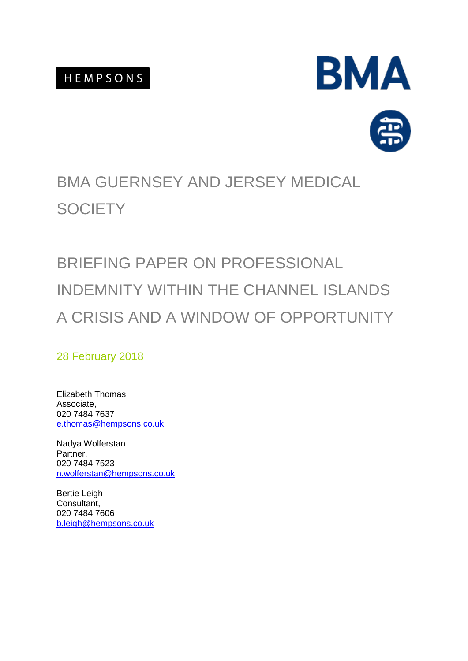



# BMA GUERNSEY AND JERSEY MEDICAL **SOCIETY**

# BRIEFING PAPER ON PROFESSIONAL INDEMNITY WITHIN THE CHANNEL ISLANDS A CRISIS AND A WINDOW OF OPPORTUNITY

### 28 February 2018

Elizabeth Thomas Associate, 020 7484 7637 e.thomas@hempsons.co.uk

Nadya Wolferstan Partner, 020 7484 7523 n.wolferstan@hempsons.co.uk

Bertie Leigh Consultant, 020 7484 7606 b.leigh@hempsons.co.uk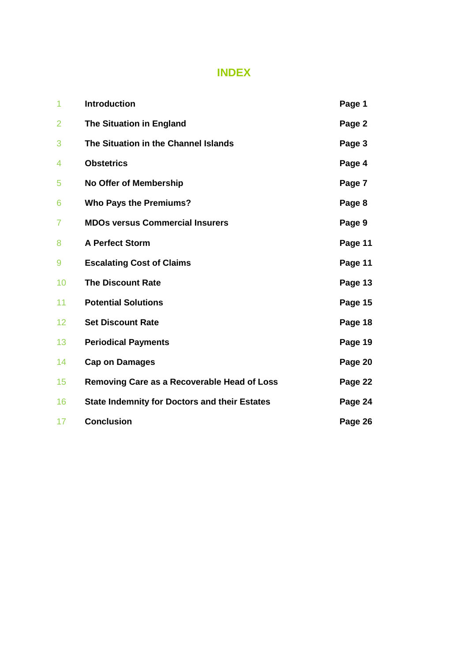### **INDEX**

| 1              | <b>Introduction</b>                                  | Page 1  |
|----------------|------------------------------------------------------|---------|
| 2              | <b>The Situation in England</b>                      | Page 2  |
| 3              | The Situation in the Channel Islands                 | Page 3  |
| 4              | <b>Obstetrics</b>                                    | Page 4  |
| 5              | <b>No Offer of Membership</b>                        | Page 7  |
| 6              | <b>Who Pays the Premiums?</b>                        | Page 8  |
| $\overline{7}$ | <b>MDOs versus Commercial Insurers</b>               | Page 9  |
| 8              | <b>A Perfect Storm</b>                               | Page 11 |
| 9              | <b>Escalating Cost of Claims</b>                     | Page 11 |
| 10             | <b>The Discount Rate</b>                             | Page 13 |
| 11             | <b>Potential Solutions</b>                           | Page 15 |
| 12             | <b>Set Discount Rate</b>                             | Page 18 |
| 13             | <b>Periodical Payments</b>                           | Page 19 |
| 14             | <b>Cap on Damages</b>                                | Page 20 |
| 15             | Removing Care as a Recoverable Head of Loss          | Page 22 |
| 16             | <b>State Indemnity for Doctors and their Estates</b> | Page 24 |
| 17             | <b>Conclusion</b>                                    | Page 26 |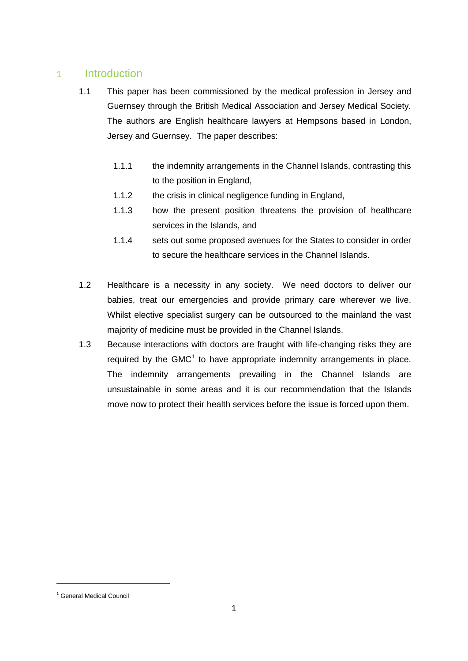#### 1 Introduction

- 1.1 This paper has been commissioned by the medical profession in Jersey and Guernsey through the British Medical Association and Jersey Medical Society. The authors are English healthcare lawyers at Hempsons based in London, Jersey and Guernsey. The paper describes:
	- 1.1.1 the indemnity arrangements in the Channel Islands, contrasting this to the position in England,
	- 1.1.2 the crisis in clinical negligence funding in England,
	- 1.1.3 how the present position threatens the provision of healthcare services in the Islands, and
	- 1.1.4 sets out some proposed avenues for the States to consider in order to secure the healthcare services in the Channel Islands.
- 1.2 Healthcare is a necessity in any society. We need doctors to deliver our babies, treat our emergencies and provide primary care wherever we live. Whilst elective specialist surgery can be outsourced to the mainland the vast majority of medicine must be provided in the Channel Islands.
- 1.3 Because interactions with doctors are fraught with life-changing risks they are required by the GMC $1$  to have appropriate indemnity arrangements in place. The indemnity arrangements prevailing in the Channel Islands are unsustainable in some areas and it is our recommendation that the Islands move now to protect their health services before the issue is forced upon them.

<sup>&</sup>lt;sup>1</sup> General Medical Council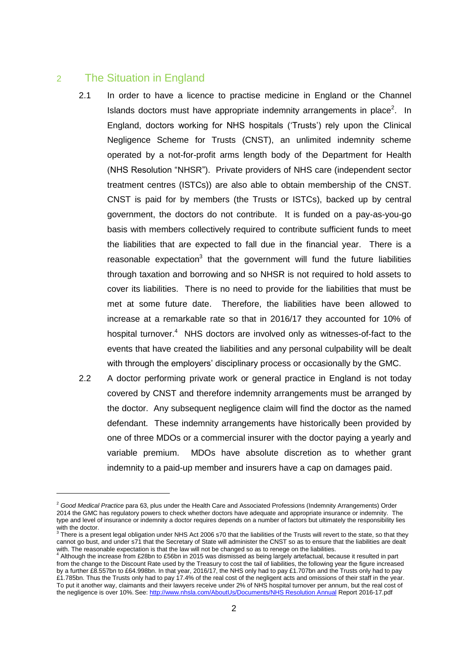#### 2 The Situation in England

- 2.1 In order to have a licence to practise medicine in England or the Channel Islands doctors must have appropriate indemnity arrangements in place<sup>2</sup>. In England, doctors working for NHS hospitals ('Trusts') rely upon the Clinical Negligence Scheme for Trusts (CNST), an unlimited indemnity scheme operated by a not-for-profit arms length body of the Department for Health (NHS Resolution "NHSR"). Private providers of NHS care (independent sector treatment centres (ISTCs)) are also able to obtain membership of the CNST. CNST is paid for by members (the Trusts or ISTCs), backed up by central government, the doctors do not contribute. It is funded on a pay-as-you-go basis with members collectively required to contribute sufficient funds to meet the liabilities that are expected to fall due in the financial year. There is a reasonable expectation<sup>3</sup> that the government will fund the future liabilities through taxation and borrowing and so NHSR is not required to hold assets to cover its liabilities. There is no need to provide for the liabilities that must be met at some future date. Therefore, the liabilities have been allowed to increase at a remarkable rate so that in 2016/17 they accounted for 10% of hospital turnover.<sup>4</sup> NHS doctors are involved only as witnesses-of-fact to the events that have created the liabilities and any personal culpability will be dealt with through the employers' disciplinary process or occasionally by the GMC.
- 2.2 A doctor performing private work or general practice in England is not today covered by CNST and therefore indemnity arrangements must be arranged by the doctor. Any subsequent negligence claim will find the doctor as the named defendant. These indemnity arrangements have historically been provided by one of three MDOs or a commercial insurer with the doctor paying a yearly and variable premium. MDOs have absolute discretion as to whether grant indemnity to a paid-up member and insurers have a cap on damages paid.

<sup>2</sup> *Good Medical Practice* para 63, plus under the Health Care and Associated Professions (Indemnity Arrangements) Order 2014 the GMC has regulatory powers to check whether doctors have adequate and appropriate insurance or indemnity. The type and level of insurance or indemnity a doctor requires depends on a number of factors but ultimately the responsibility lies

with the doctor.<br><sup>3</sup> There is a present legal obligation under NHS Act 2006 s70 that the liabilities of the Trusts will revert to the state, so that they cannot go bust, and under s71 that the Secretary of State will administer the CNST so as to ensure that the liabilities are dealt with. The reasonable expectation is that the law will not be changed so as to renege on the liabilities.

<sup>4</sup> Although the increase from £28bn to £56bn in 2015 was dismissed as being largely artefactual, because it resulted in part from the change to the Discount Rate used by the Treasury to cost the tail of liabilities, the following year the figure increased by a further £8.557bn to £64.998bn. In that year, 2016/17, the NHS only had to pay £1.707bn and the Trusts only had to pay £1.785bn. Thus the Trusts only had to pay 17.4% of the real cost of the negligent acts and omissions of their staff in the year. To put it another way, claimants and their lawyers receive under 2% of NHS hospital turnover per annum, but the real cost of the negligence is over 10%. See: http://www.nhsla.com/AboutUs/Documents/NHS Resolution Annual Report 2016-17.pdf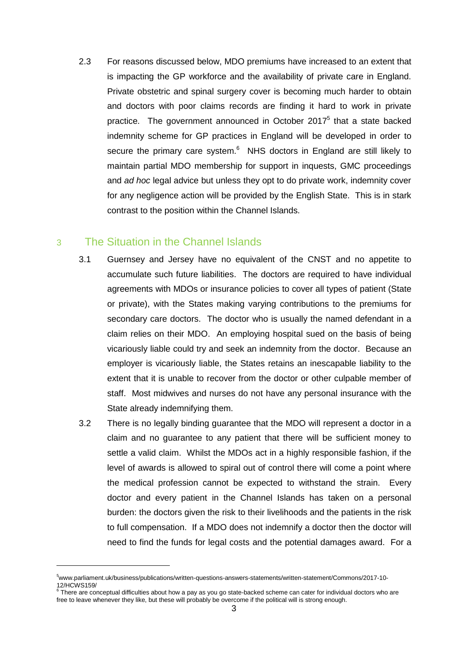2.3 For reasons discussed below, MDO premiums have increased to an extent that is impacting the GP workforce and the availability of private care in England. Private obstetric and spinal surgery cover is becoming much harder to obtain and doctors with poor claims records are finding it hard to work in private practice. The government announced in October 2017<sup>5</sup> that a state backed indemnity scheme for GP practices in England will be developed in order to secure the primary care system.<sup>6</sup> NHS doctors in England are still likely to maintain partial MDO membership for support in inquests, GMC proceedings and *ad hoc* legal advice but unless they opt to do private work, indemnity cover for any negligence action will be provided by the English State. This is in stark contrast to the position within the Channel Islands.

#### 3 The Situation in the Channel Islands

- 3.1 Guernsey and Jersey have no equivalent of the CNST and no appetite to accumulate such future liabilities. The doctors are required to have individual agreements with MDOs or insurance policies to cover all types of patient (State or private), with the States making varying contributions to the premiums for secondary care doctors. The doctor who is usually the named defendant in a claim relies on their MDO. An employing hospital sued on the basis of being vicariously liable could try and seek an indemnity from the doctor. Because an employer is vicariously liable, the States retains an inescapable liability to the extent that it is unable to recover from the doctor or other culpable member of staff. Most midwives and nurses do not have any personal insurance with the State already indemnifying them.
- 3.2 There is no legally binding guarantee that the MDO will represent a doctor in a claim and no guarantee to any patient that there will be sufficient money to settle a valid claim. Whilst the MDOs act in a highly responsible fashion, if the level of awards is allowed to spiral out of control there will come a point where the medical profession cannot be expected to withstand the strain. Every doctor and every patient in the Channel Islands has taken on a personal burden: the doctors given the risk to their livelihoods and the patients in the risk to full compensation. If a MDO does not indemnify a doctor then the doctor will need to find the funds for legal costs and the potential damages award. For a

<sup>5</sup>www.parliament.uk/business/publications/written-questions-answers-statements/written-statement/Commons/2017-10- 12/HCWS159/ 6 There are conceptual difficulties about how a pay as you go state-backed scheme can cater for individual doctors who are

free to leave whenever they like, but these will probably be overcome if the political will is strong enough.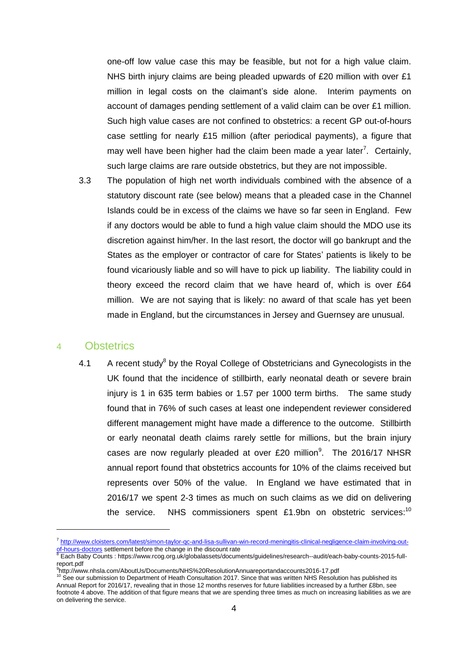one-off low value case this may be feasible, but not for a high value claim. NHS birth injury claims are being pleaded upwards of £20 million with over £1 million in legal costs on the claimant's side alone. Interim payments on account of damages pending settlement of a valid claim can be over £1 million. Such high value cases are not confined to obstetrics: a recent GP out-of-hours case settling for nearly £15 million (after periodical payments), a figure that may well have been higher had the claim been made a year later<sup>7</sup>. Certainly, such large claims are rare outside obstetrics, but they are not impossible.

3.3 The population of high net worth individuals combined with the absence of a statutory discount rate (see below) means that a pleaded case in the Channel Islands could be in excess of the claims we have so far seen in England. Few if any doctors would be able to fund a high value claim should the MDO use its discretion against him/her. In the last resort, the doctor will go bankrupt and the States as the employer or contractor of care for States' patients is likely to be found vicariously liable and so will have to pick up liability. The liability could in theory exceed the record claim that we have heard of, which is over £64 million. We are not saying that is likely: no award of that scale has yet been made in England, but the circumstances in Jersey and Guernsey are unusual.

#### 4 Obstetrics

-

4.1 A recent study<sup>8</sup> by the Royal College of Obstetricians and Gynecologists in the UK found that the incidence of stillbirth, early neonatal death or severe brain injury is 1 in 635 term babies or 1.57 per 1000 term births. The same study found that in 76% of such cases at least one independent reviewer considered different management might have made a difference to the outcome. Stillbirth or early neonatal death claims rarely settle for millions, but the brain injury cases are now regularly pleaded at over  $£20$  million $<sup>9</sup>$ . The 2016/17 NHSR</sup> annual report found that obstetrics accounts for 10% of the claims received but represents over 50% of the value. In England we have estimated that in 2016/17 we spent 2-3 times as much on such claims as we did on delivering the service. NHS commissioners spent £1.9bn on obstetric services:<sup>10</sup>

<sup>&</sup>lt;sup>7</sup> http://www.cloisters.com/latest/simon-taylor-qc-and-lisa-sullivan-win-record-meningitis-clinical-negligence-claim-involving-out-

<sup>&</sup>lt;u>of-hours-doctors</u> settlement before the change in the discount rate<br><sup>8</sup> Each Baby Counts : https://www.rcog.org.uk/globalassets/documents/guidelines/research--audit/each-baby-counts-2015-fullreport.pdf

<sup>9</sup> http://www.nhsla.com/AboutUs/Documents/NHS%20ResolutionAnnuareportandaccounts2016-17.pdf

See our submission to Department of Heath Consultation 2017. Since that was written NHS Resolution has published its Annual Report for 2016/17, revealing that in those 12 months reserves for future liabilities increased by a further £8bn, see footnote 4 above. The addition of that figure means that we are spending three times as much on increasing liabilities as we are on delivering the service.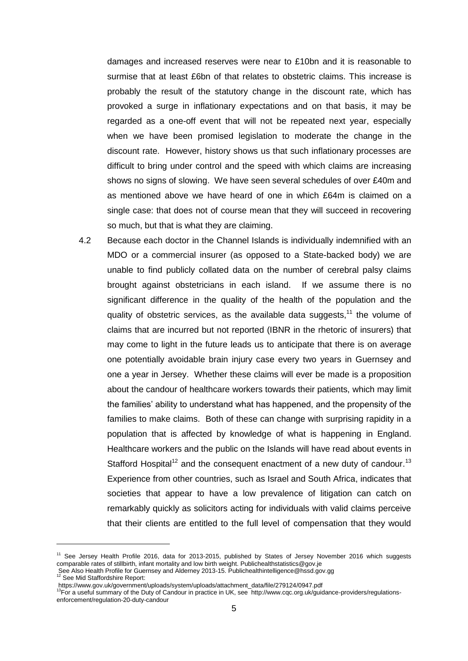damages and increased reserves were near to £10bn and it is reasonable to surmise that at least £6bn of that relates to obstetric claims. This increase is probably the result of the statutory change in the discount rate, which has provoked a surge in inflationary expectations and on that basis, it may be regarded as a one-off event that will not be repeated next year, especially when we have been promised legislation to moderate the change in the discount rate. However, history shows us that such inflationary processes are difficult to bring under control and the speed with which claims are increasing shows no signs of slowing. We have seen several schedules of over £40m and as mentioned above we have heard of one in which £64m is claimed on a single case: that does not of course mean that they will succeed in recovering so much, but that is what they are claiming.

4.2 Because each doctor in the Channel Islands is individually indemnified with an MDO or a commercial insurer (as opposed to a State-backed body) we are unable to find publicly collated data on the number of cerebral palsy claims brought against obstetricians in each island. If we assume there is no significant difference in the quality of the health of the population and the quality of obstetric services, as the available data suggests,  $11$  the volume of claims that are incurred but not reported (IBNR in the rhetoric of insurers) that may come to light in the future leads us to anticipate that there is on average one potentially avoidable brain injury case every two years in Guernsey and one a year in Jersey. Whether these claims will ever be made is a proposition about the candour of healthcare workers towards their patients, which may limit the families' ability to understand what has happened, and the propensity of the families to make claims. Both of these can change with surprising rapidity in a population that is affected by knowledge of what is happening in England. Healthcare workers and the public on the Islands will have read about events in Stafford Hospital<sup>12</sup> and the consequent enactment of a new duty of candour.<sup>13</sup> Experience from other countries, such as Israel and South Africa, indicates that societies that appear to have a low prevalence of litigation can catch on remarkably quickly as solicitors acting for individuals with valid claims perceive that their clients are entitled to the full level of compensation that they would

<sup>&</sup>lt;sup>11</sup> See Jersey Health Profile 2016, data for 2013-2015, published by States of Jersey November 2016 which suggests comparable rates of stillbirth, infant mortality and low birth weight. Publichealthstatistics@gov.je

See Also Health Profile for Guernsey and Alderney 2013-15. Publichealthintelligence@hssd.gov.gg <sup>12</sup> See Mid Staffordshire Report:

https://www.gov.uk/government/uploads/system/uploads/attachment\_data/file/279124/0947.pdf<br><sup>13</sup>For a useful summary of the Duty of Candour in practice in UK, see http://www.cqc.org.uk/guidance-providers/regulationsenforcement/regulation-20-duty-candour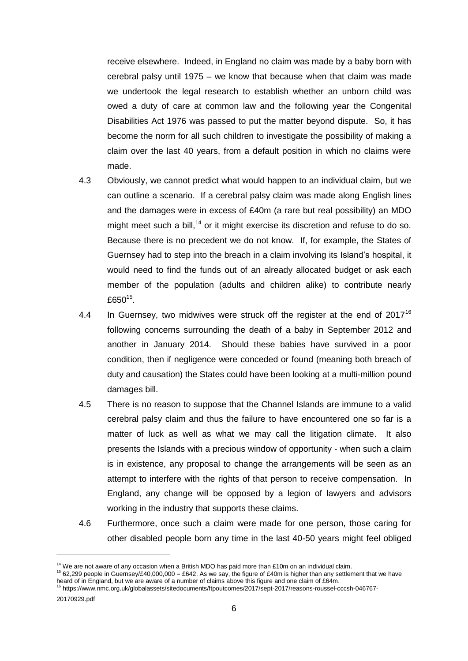receive elsewhere. Indeed, in England no claim was made by a baby born with cerebral palsy until 1975 – we know that because when that claim was made we undertook the legal research to establish whether an unborn child was owed a duty of care at common law and the following year the Congenital Disabilities Act 1976 was passed to put the matter beyond dispute. So, it has become the norm for all such children to investigate the possibility of making a claim over the last 40 years, from a default position in which no claims were made.

- 4.3 Obviously, we cannot predict what would happen to an individual claim, but we can outline a scenario. If a cerebral palsy claim was made along English lines and the damages were in excess of £40m (a rare but real possibility) an MDO might meet such a bill,<sup>14</sup> or it might exercise its discretion and refuse to do so. Because there is no precedent we do not know. If, for example, the States of Guernsey had to step into the breach in a claim involving its Island's hospital, it would need to find the funds out of an already allocated budget or ask each member of the population (adults and children alike) to contribute nearly £650 $^{15}$ .
- 4.4 In Guernsey, two midwives were struck off the register at the end of  $2017^{16}$ following concerns surrounding the death of a baby in September 2012 and another in January 2014. Should these babies have survived in a poor condition, then if negligence were conceded or found (meaning both breach of duty and causation) the States could have been looking at a multi-million pound damages bill.
- 4.5 There is no reason to suppose that the Channel Islands are immune to a valid cerebral palsy claim and thus the failure to have encountered one so far is a matter of luck as well as what we may call the litigation climate. It also presents the Islands with a precious window of opportunity - when such a claim is in existence, any proposal to change the arrangements will be seen as an attempt to interfere with the rights of that person to receive compensation. In England, any change will be opposed by a legion of lawyers and advisors working in the industry that supports these claims.
- 4.6 Furthermore, once such a claim were made for one person, those caring for other disabled people born any time in the last 40-50 years might feel obliged

 $14$  We are not aware of any occasion when a British MDO has paid more than £10m on an individual claim.

<sup>&</sup>lt;sup>15</sup> 62,299 people in Guernsey/£40,000,000 = £642. As we say, the figure of £40m is higher than any settlement that we have heard of in England, but we are aware of a number of claims above this figure and one claim of £64m.<br><sup>16</sup> https://www.nmc.org.uk/globalassets/sitedocuments/ftpoutcomes/2017/sept-2017/reasons-roussel-cccsh-046767-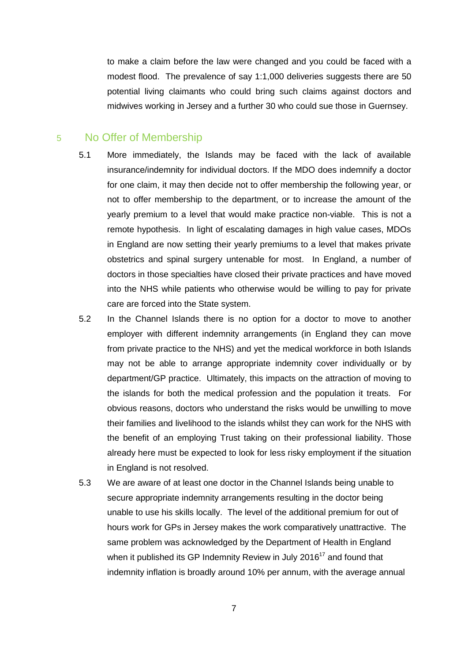to make a claim before the law were changed and you could be faced with a modest flood. The prevalence of say 1:1,000 deliveries suggests there are 50 potential living claimants who could bring such claims against doctors and midwives working in Jersey and a further 30 who could sue those in Guernsey.

#### 5 No Offer of Membership

- 5.1 More immediately, the Islands may be faced with the lack of available insurance/indemnity for individual doctors. If the MDO does indemnify a doctor for one claim, it may then decide not to offer membership the following year, or not to offer membership to the department, or to increase the amount of the yearly premium to a level that would make practice non-viable. This is not a remote hypothesis. In light of escalating damages in high value cases, MDOs in England are now setting their yearly premiums to a level that makes private obstetrics and spinal surgery untenable for most. In England, a number of doctors in those specialties have closed their private practices and have moved into the NHS while patients who otherwise would be willing to pay for private care are forced into the State system.
- 5.2 In the Channel Islands there is no option for a doctor to move to another employer with different indemnity arrangements (in England they can move from private practice to the NHS) and yet the medical workforce in both Islands may not be able to arrange appropriate indemnity cover individually or by department/GP practice. Ultimately, this impacts on the attraction of moving to the islands for both the medical profession and the population it treats. For obvious reasons, doctors who understand the risks would be unwilling to move their families and livelihood to the islands whilst they can work for the NHS with the benefit of an employing Trust taking on their professional liability. Those already here must be expected to look for less risky employment if the situation in England is not resolved.
- 5.3 We are aware of at least one doctor in the Channel Islands being unable to secure appropriate indemnity arrangements resulting in the doctor being unable to use his skills locally. The level of the additional premium for out of hours work for GPs in Jersey makes the work comparatively unattractive. The same problem was acknowledged by the Department of Health in England when it published its GP Indemnity Review in July 2016<sup>17</sup> and found that indemnity inflation is broadly around 10% per annum, with the average annual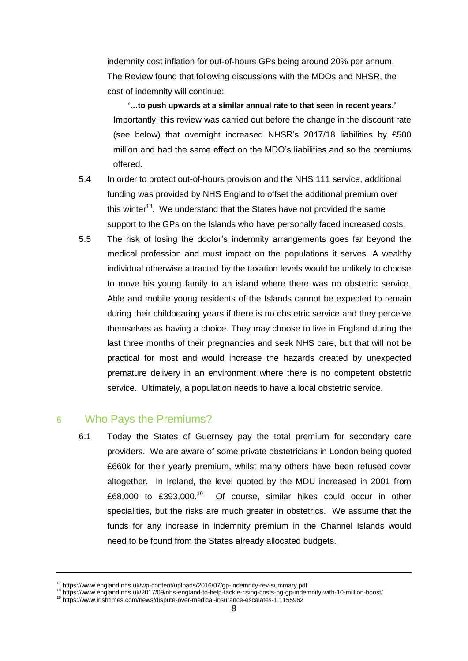indemnity cost inflation for out-of-hours GPs being around 20% per annum. The Review found that following discussions with the MDOs and NHSR, the cost of indemnity will continue:

**'…to push upwards at a similar annual rate to that seen in recent years.'** Importantly, this review was carried out before the change in the discount rate (see below) that overnight increased NHSR's 2017/18 liabilities by £500 million and had the same effect on the MDO's liabilities and so the premiums offered.

- 5.4 In order to protect out-of-hours provision and the NHS 111 service, additional funding was provided by NHS England to offset the additional premium over this winter<sup>18</sup>. We understand that the States have not provided the same support to the GPs on the Islands who have personally faced increased costs.
- 5.5 The risk of losing the doctor's indemnity arrangements goes far beyond the medical profession and must impact on the populations it serves. A wealthy individual otherwise attracted by the taxation levels would be unlikely to choose to move his young family to an island where there was no obstetric service. Able and mobile young residents of the Islands cannot be expected to remain during their childbearing years if there is no obstetric service and they perceive themselves as having a choice. They may choose to live in England during the last three months of their pregnancies and seek NHS care, but that will not be practical for most and would increase the hazards created by unexpected premature delivery in an environment where there is no competent obstetric service. Ultimately, a population needs to have a local obstetric service.

#### 6 Who Pays the Premiums?

-

6.1 Today the States of Guernsey pay the total premium for secondary care providers. We are aware of some private obstetricians in London being quoted £660k for their yearly premium, whilst many others have been refused cover altogether. In Ireland, the level quoted by the MDU increased in 2001 from £68,000 to £393,000.<sup>19</sup> Of course, similar hikes could occur in other specialities, but the risks are much greater in obstetrics. We assume that the funds for any increase in indemnity premium in the Channel Islands would need to be found from the States already allocated budgets.

<sup>17</sup> https://www.england.nhs.uk/wp-content/uploads/2016/07/gp-indemnity-rev-summary.pdf

<sup>18</sup> https://www.england.nhs.uk/2017/09/nhs-england-to-help-tackle-rising-costs-og-gp-indemnity-with-10-million-boost/

<sup>19</sup> https://www.irishtimes.com/news/dispute-over-medical-insurance-escalates-1.1155962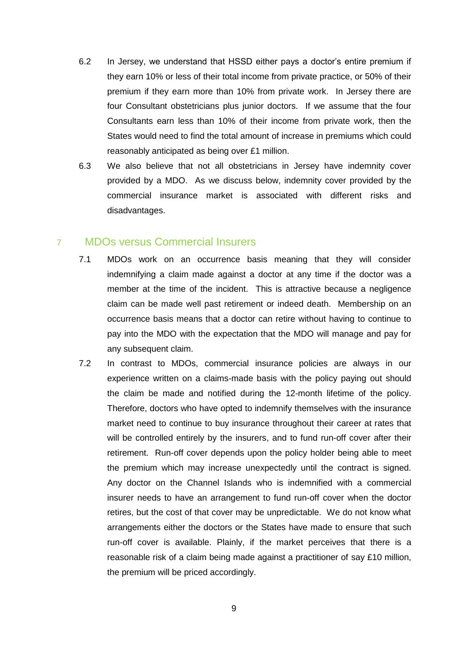- 6.2 In Jersey, we understand that HSSD either pays a doctor's entire premium if they earn 10% or less of their total income from private practice, or 50% of their premium if they earn more than 10% from private work. In Jersey there are four Consultant obstetricians plus junior doctors. If we assume that the four Consultants earn less than 10% of their income from private work, then the States would need to find the total amount of increase in premiums which could reasonably anticipated as being over £1 million.
- 6.3 We also believe that not all obstetricians in Jersey have indemnity cover provided by a MDO. As we discuss below, indemnity cover provided by the commercial insurance market is associated with different risks and disadvantages.

#### 7 MDOs versus Commercial Insurers

- 7.1 MDOs work on an occurrence basis meaning that they will consider indemnifying a claim made against a doctor at any time if the doctor was a member at the time of the incident. This is attractive because a negligence claim can be made well past retirement or indeed death. Membership on an occurrence basis means that a doctor can retire without having to continue to pay into the MDO with the expectation that the MDO will manage and pay for any subsequent claim.
- 7.2 In contrast to MDOs, commercial insurance policies are always in our experience written on a claims-made basis with the policy paying out should the claim be made and notified during the 12-month lifetime of the policy. Therefore, doctors who have opted to indemnify themselves with the insurance market need to continue to buy insurance throughout their career at rates that will be controlled entirely by the insurers, and to fund run-off cover after their retirement. Run-off cover depends upon the policy holder being able to meet the premium which may increase unexpectedly until the contract is signed. Any doctor on the Channel Islands who is indemnified with a commercial insurer needs to have an arrangement to fund run-off cover when the doctor retires, but the cost of that cover may be unpredictable. We do not know what arrangements either the doctors or the States have made to ensure that such run-off cover is available. Plainly, if the market perceives that there is a reasonable risk of a claim being made against a practitioner of say £10 million, the premium will be priced accordingly.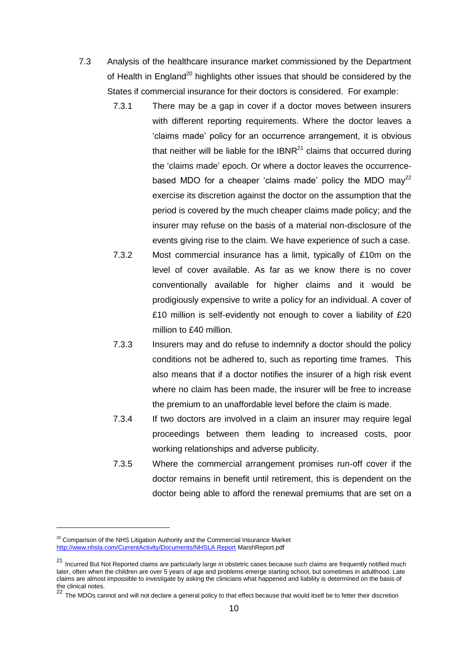- 7.3 Analysis of the healthcare insurance market commissioned by the Department of Health in England<sup>20</sup> highlights other issues that should be considered by the States if commercial insurance for their doctors is considered. For example:
	- 7.3.1 There may be a gap in cover if a doctor moves between insurers with different reporting requirements. Where the doctor leaves a 'claims made' policy for an occurrence arrangement, it is obvious that neither will be liable for the  $IBNR<sup>21</sup>$  claims that occurred during the 'claims made' epoch. Or where a doctor leaves the occurrencebased MDO for a cheaper 'claims made' policy the MDO may<sup>22</sup> exercise its discretion against the doctor on the assumption that the period is covered by the much cheaper claims made policy; and the insurer may refuse on the basis of a material non-disclosure of the events giving rise to the claim. We have experience of such a case.
	- 7.3.2 Most commercial insurance has a limit, typically of £10m on the level of cover available. As far as we know there is no cover conventionally available for higher claims and it would be prodigiously expensive to write a policy for an individual. A cover of £10 million is self-evidently not enough to cover a liability of £20 million to £40 million.
	- 7.3.3 Insurers may and do refuse to indemnify a doctor should the policy conditions not be adhered to, such as reporting time frames. This also means that if a doctor notifies the insurer of a high risk event where no claim has been made, the insurer will be free to increase the premium to an unaffordable level before the claim is made.
	- 7.3.4 If two doctors are involved in a claim an insurer may require legal proceedings between them leading to increased costs, poor working relationships and adverse publicity.
	- 7.3.5 Where the commercial arrangement promises run-off cover if the doctor remains in benefit until retirement, this is dependent on the doctor being able to afford the renewal premiums that are set on a

<sup>&</sup>lt;sup>20</sup> Comparison of the NHS Litigation Authority and the Commercial Insurance Market http://www.nhsla.com/CurrentActivity/Documents/NHSLA Report MarshReport.pdf

 $21$  Incurred But Not Reported claims are particularly large in obstetric cases because such claims are frequently notified much later, often when the children are over 5 years of age and problems emerge starting school, but sometimes in adulthood. Late claims are almost impossible to investigate by asking the clinicians what happened and liability is determined on the basis of

the clinical notes.<br><sup>22</sup> The MDOs cannot and will not declare a general policy to that effect because that would itself be to fetter their discretion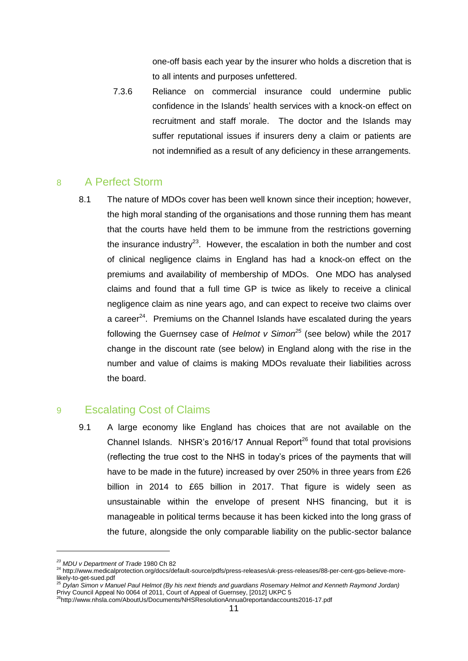one-off basis each year by the insurer who holds a discretion that is to all intents and purposes unfettered.

7.3.6 Reliance on commercial insurance could undermine public confidence in the Islands' health services with a knock-on effect on recruitment and staff morale. The doctor and the Islands may suffer reputational issues if insurers deny a claim or patients are not indemnified as a result of any deficiency in these arrangements.

#### 8 A Perfect Storm

8.1 The nature of MDOs cover has been well known since their inception; however, the high moral standing of the organisations and those running them has meant that the courts have held them to be immune from the restrictions governing the insurance industry<sup>23</sup>. However, the escalation in both the number and cost of clinical negligence claims in England has had a knock-on effect on the premiums and availability of membership of MDOs. One MDO has analysed claims and found that a full time GP is twice as likely to receive a clinical negligence claim as nine years ago, and can expect to receive two claims over a career $^{24}$ . Premiums on the Channel Islands have escalated during the years following the Guernsey case of *Helmot v Simon<sup>25</sup>* (see below) while the 2017 change in the discount rate (see below) in England along with the rise in the number and value of claims is making MDOs revaluate their liabilities across the board.

#### 9 Escalating Cost of Claims

9.1 A large economy like England has choices that are not available on the Channel Islands. NHSR's 2016/17 Annual Report<sup>26</sup> found that total provisions (reflecting the true cost to the NHS in today's prices of the payments that will have to be made in the future) increased by over 250% in three years from £26 billion in 2014 to £65 billion in 2017. That figure is widely seen as unsustainable within the envelope of present NHS financing, but it is manageable in political terms because it has been kicked into the long grass of the future, alongside the only comparable liability on the public-sector balance

*<sup>23</sup> MDU v Department of Trade* 1980 Ch 82

<sup>24</sup> http://www.medicalprotection.org/docs/default-source/pdfs/press-releases/uk-press-releases/88-per-cent-gps-believe-morelikely-to-get-sued.pdf <sup>25</sup> *Dylan Simon v Manuel Paul Helmot (By his next friends and guardians Rosemary Helmot and Kenneth Raymond Jordan)*

Privy Council Appeal No 0064 of 2011, Court of Appeal of Guernsey, [2012] UKPC 5

<sup>26</sup>http://www.nhsla.com/AboutUs/Documents/NHSResolutionAnnua0reportandaccounts2016-17.pdf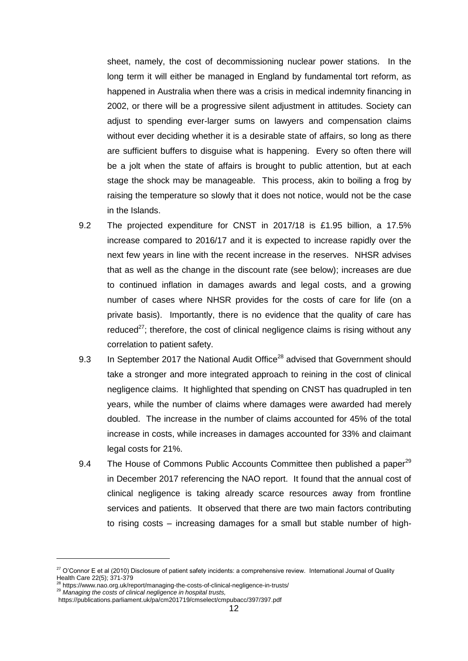sheet, namely, the cost of decommissioning nuclear power stations. In the long term it will either be managed in England by fundamental tort reform, as happened in Australia when there was a crisis in medical indemnity financing in 2002, or there will be a progressive silent adjustment in attitudes. Society can adjust to spending ever-larger sums on lawyers and compensation claims without ever deciding whether it is a desirable state of affairs, so long as there are sufficient buffers to disguise what is happening. Every so often there will be a jolt when the state of affairs is brought to public attention, but at each stage the shock may be manageable. This process, akin to boiling a frog by raising the temperature so slowly that it does not notice, would not be the case in the Islands.

- 9.2 The projected expenditure for CNST in 2017/18 is £1.95 billion, a 17.5% increase compared to 2016/17 and it is expected to increase rapidly over the next few years in line with the recent increase in the reserves. NHSR advises that as well as the change in the discount rate (see below); increases are due to continued inflation in damages awards and legal costs, and a growing number of cases where NHSR provides for the costs of care for life (on a private basis). Importantly, there is no evidence that the quality of care has reduced $^{27}$ ; therefore, the cost of clinical negligence claims is rising without any correlation to patient safety.
- 9.3 In September 2017 the National Audit Office<sup>28</sup> advised that Government should take a stronger and more integrated approach to reining in the cost of clinical negligence claims. It highlighted that spending on CNST has quadrupled in ten years, while the number of claims where damages were awarded had merely doubled. The increase in the number of claims accounted for 45% of the total increase in costs, while increases in damages accounted for 33% and claimant legal costs for 21%.
- 9.4 The House of Commons Public Accounts Committee then published a paper<sup>29</sup> in December 2017 referencing the NAO report. It found that the annual cost of clinical negligence is taking already scarce resources away from frontline services and patients. It observed that there are two main factors contributing to rising costs – increasing damages for a small but stable number of high-

<sup>&</sup>lt;sup>27</sup> O'Connor E et al (2010) Disclosure of patient safety incidents: a comprehensive review. International Journal of Quality Health Care 22(5); 371-379<br><sup>28</sup> https://www.nao.org.uk/report/managing-the-costs-of-clinical-negligence-in-trusts/

<sup>29</sup> *Managing the costs of clinical negligence in hospital trusts,* https://publications.parliament.uk/pa/cm201719/cmselect/cmpubacc/397/397.pdf

<sup>12</sup>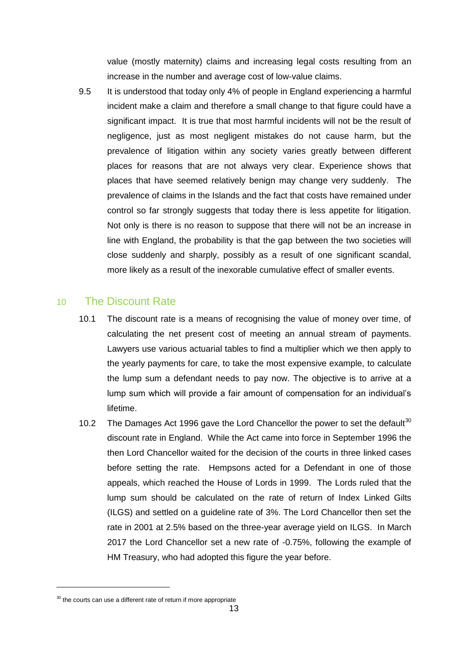value (mostly maternity) claims and increasing legal costs resulting from an increase in the number and average cost of low-value claims.

9.5 It is understood that today only 4% of people in England experiencing a harmful incident make a claim and therefore a small change to that figure could have a significant impact. It is true that most harmful incidents will not be the result of negligence, just as most negligent mistakes do not cause harm, but the prevalence of litigation within any society varies greatly between different places for reasons that are not always very clear. Experience shows that places that have seemed relatively benign may change very suddenly. The prevalence of claims in the Islands and the fact that costs have remained under control so far strongly suggests that today there is less appetite for litigation. Not only is there is no reason to suppose that there will not be an increase in line with England, the probability is that the gap between the two societies will close suddenly and sharply, possibly as a result of one significant scandal, more likely as a result of the inexorable cumulative effect of smaller events.

#### 10 The Discount Rate

- 10.1 The discount rate is a means of recognising the value of money over time, of calculating the net present cost of meeting an annual stream of payments. Lawyers use various actuarial tables to find a multiplier which we then apply to the yearly payments for care, to take the most expensive example, to calculate the lump sum a defendant needs to pay now. The objective is to arrive at a lump sum which will provide a fair amount of compensation for an individual's lifetime.
- 10.2 The Damages Act 1996 gave the Lord Chancellor the power to set the default<sup>30</sup> discount rate in England. While the Act came into force in September 1996 the then Lord Chancellor waited for the decision of the courts in three linked cases before setting the rate. Hempsons acted for a Defendant in one of those appeals, which reached the House of Lords in 1999. The Lords ruled that the lump sum should be calculated on the rate of return of Index Linked Gilts (ILGS) and settled on a guideline rate of 3%. The Lord Chancellor then set the rate in 2001 at 2.5% based on the three-year average yield on ILGS. In March 2017 the Lord Chancellor set a new rate of -0.75%, following the example of HM Treasury, who had adopted this figure the year before.

 $\overline{a}$ 

 $30$  the courts can use a different rate of return if more appropriate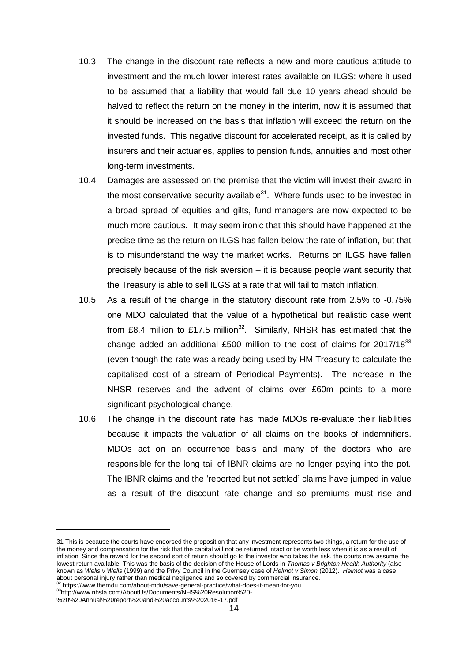- 10.3 The change in the discount rate reflects a new and more cautious attitude to investment and the much lower interest rates available on ILGS: where it used to be assumed that a liability that would fall due 10 years ahead should be halved to reflect the return on the money in the interim, now it is assumed that it should be increased on the basis that inflation will exceed the return on the invested funds. This negative discount for accelerated receipt, as it is called by insurers and their actuaries, applies to pension funds, annuities and most other long-term investments.
- 10.4 Damages are assessed on the premise that the victim will invest their award in the most conservative security available $31$ . Where funds used to be invested in a broad spread of equities and gilts, fund managers are now expected to be much more cautious. It may seem ironic that this should have happened at the precise time as the return on ILGS has fallen below the rate of inflation, but that is to misunderstand the way the market works. Returns on ILGS have fallen precisely because of the risk aversion – it is because people want security that the Treasury is able to sell ILGS at a rate that will fail to match inflation.
- 10.5 As a result of the change in the statutory discount rate from 2.5% to -0.75% one MDO calculated that the value of a hypothetical but realistic case went from £8.4 million to £17.5 million<sup>32</sup>. Similarly, NHSR has estimated that the change added an additional £500 million to the cost of claims for 2017/18<sup>33</sup> (even though the rate was already being used by HM Treasury to calculate the capitalised cost of a stream of Periodical Payments). The increase in the NHSR reserves and the advent of claims over £60m points to a more significant psychological change.
- 10.6 The change in the discount rate has made MDOs re-evaluate their liabilities because it impacts the valuation of all claims on the books of indemnifiers. MDOs act on an occurrence basis and many of the doctors who are responsible for the long tail of IBNR claims are no longer paying into the pot. The IBNR claims and the 'reported but not settled' claims have jumped in value as a result of the discount rate change and so premiums must rise and

<sup>31</sup> This is because the courts have endorsed the proposition that any investment represents two things, a return for the use of the money and compensation for the risk that the capital will not be returned intact or be worth less when it is as a result of inflation. Since the reward for the second sort of return should go to the investor who takes the risk, the courts now assume the lowest return available. This was the basis of the decision of the House of Lords in *Thomas v Brighton Health Authority* (also known as *Wells v Wells* (1999) and the Privy Council in the Guernsey case of *Helmot v Simon* (2012). *Helmot* was a case about personal injury rather than medical negligence and so covered by commercial insurance.<br><sup>32</sup> https://www.themdu.com/about-mdu/save-general-practice/what-does-it-mean-for-you

<sup>33</sup>http://www.nhsla.com/AboutUs/Documents/NHS%20Resolution%20-

<sup>%20%20</sup>Annual%20report%20and%20accounts%202016-17.pdf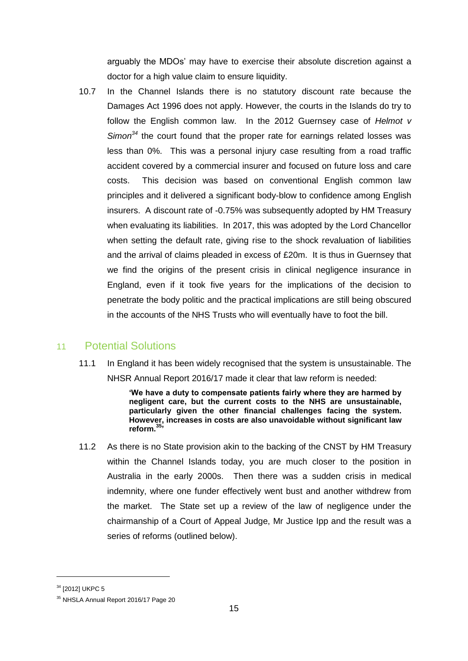arguably the MDOs' may have to exercise their absolute discretion against a doctor for a high value claim to ensure liquidity.

10.7 In the Channel Islands there is no statutory discount rate because the Damages Act 1996 does not apply. However, the courts in the Islands do try to follow the English common law. In the 2012 Guernsey case of *Helmot v Simon<sup>34</sup>* the court found that the proper rate for earnings related losses was less than 0%. This was a personal injury case resulting from a road traffic accident covered by a commercial insurer and focused on future loss and care costs. This decision was based on conventional English common law principles and it delivered a significant body-blow to confidence among English insurers. A discount rate of -0.75% was subsequently adopted by HM Treasury when evaluating its liabilities. In 2017, this was adopted by the Lord Chancellor when setting the default rate, giving rise to the shock revaluation of liabilities and the arrival of claims pleaded in excess of £20m. It is thus in Guernsey that we find the origins of the present crisis in clinical negligence insurance in England, even if it took five years for the implications of the decision to penetrate the body politic and the practical implications are still being obscured in the accounts of the NHS Trusts who will eventually have to foot the bill.

#### 11 Potential Solutions

11.1 In England it has been widely recognised that the system is unsustainable. The NHSR Annual Report 2016/17 made it clear that law reform is needed:

> **'We have a duty to compensate patients fairly where they are harmed by negligent care, but the current costs to the NHS are unsustainable, particularly given the other financial challenges facing the system. However, increases in costs are also unavoidable without significant law reform.<sup>35</sup>'**

11.2 As there is no State provision akin to the backing of the CNST by HM Treasury within the Channel Islands today, you are much closer to the position in Australia in the early 2000s. Then there was a sudden crisis in medical indemnity, where one funder effectively went bust and another withdrew from the market. The State set up a review of the law of negligence under the chairmanship of a Court of Appeal Judge, Mr Justice Ipp and the result was a series of reforms (outlined below).

<sup>&</sup>lt;sup>34</sup> [2012] UKPC 5

<sup>&</sup>lt;sup>35</sup> NHSLA Annual Report 2016/17 Page 20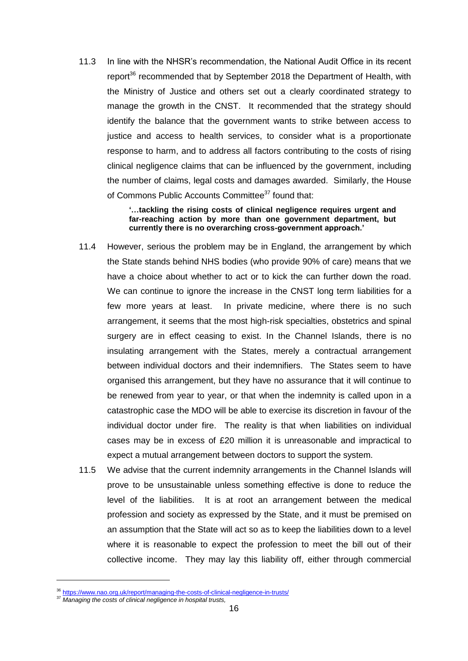11.3 In line with the NHSR's recommendation, the National Audit Office in its recent report<sup>36</sup> recommended that by September 2018 the Department of Health, with the Ministry of Justice and others set out a clearly coordinated strategy to manage the growth in the CNST. It recommended that the strategy should identify the balance that the government wants to strike between access to justice and access to health services, to consider what is a proportionate response to harm, and to address all factors contributing to the costs of rising clinical negligence claims that can be influenced by the government, including the number of claims, legal costs and damages awarded. Similarly, the House of Commons Public Accounts Committee<sup>37</sup> found that:

#### **'…tackling the rising costs of clinical negligence requires urgent and far-reaching action by more than one government department, but currently there is no overarching cross-government approach.'**

- 11.4 However, serious the problem may be in England, the arrangement by which the State stands behind NHS bodies (who provide 90% of care) means that we have a choice about whether to act or to kick the can further down the road. We can continue to ignore the increase in the CNST long term liabilities for a few more years at least. In private medicine, where there is no such arrangement, it seems that the most high-risk specialties, obstetrics and spinal surgery are in effect ceasing to exist. In the Channel Islands, there is no insulating arrangement with the States, merely a contractual arrangement between individual doctors and their indemnifiers. The States seem to have organised this arrangement, but they have no assurance that it will continue to be renewed from year to year, or that when the indemnity is called upon in a catastrophic case the MDO will be able to exercise its discretion in favour of the individual doctor under fire. The reality is that when liabilities on individual cases may be in excess of £20 million it is unreasonable and impractical to expect a mutual arrangement between doctors to support the system.
- 11.5 We advise that the current indemnity arrangements in the Channel Islands will prove to be unsustainable unless something effective is done to reduce the level of the liabilities. It is at root an arrangement between the medical profession and society as expressed by the State, and it must be premised on an assumption that the State will act so as to keep the liabilities down to a level where it is reasonable to expect the profession to meet the bill out of their collective income. They may lay this liability off, either through commercial

<sup>36</sup> https://www.nao.org.uk/report/managing-the-costs-of-clinical-negligence-in-trusts/

<sup>37</sup> *Managing the costs of clinical negligence in hospital trusts,*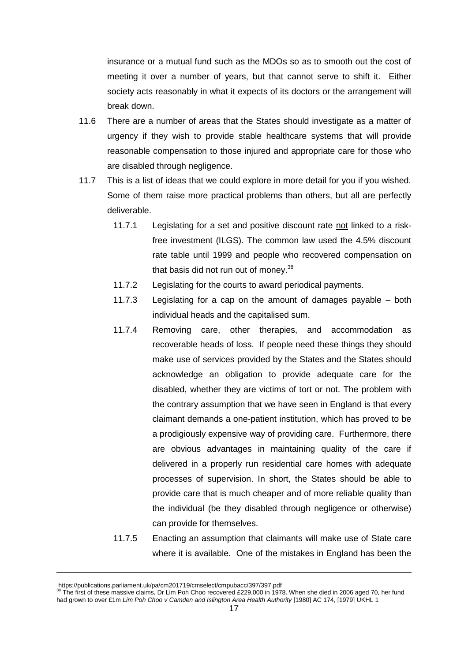insurance or a mutual fund such as the MDOs so as to smooth out the cost of meeting it over a number of years, but that cannot serve to shift it. Either society acts reasonably in what it expects of its doctors or the arrangement will break down.

- 11.6 There are a number of areas that the States should investigate as a matter of urgency if they wish to provide stable healthcare systems that will provide reasonable compensation to those injured and appropriate care for those who are disabled through negligence.
- 11.7 This is a list of ideas that we could explore in more detail for you if you wished. Some of them raise more practical problems than others, but all are perfectly deliverable.
	- 11.7.1 Legislating for a set and positive discount rate not linked to a riskfree investment (ILGS). The common law used the 4.5% discount rate table until 1999 and people who recovered compensation on that basis did not run out of money.<sup>38</sup>
	- 11.7.2 Legislating for the courts to award periodical payments.
	- 11.7.3 Legislating for a cap on the amount of damages payable both individual heads and the capitalised sum.
	- 11.7.4 Removing care, other therapies, and accommodation as recoverable heads of loss. If people need these things they should make use of services provided by the States and the States should acknowledge an obligation to provide adequate care for the disabled, whether they are victims of tort or not. The problem with the contrary assumption that we have seen in England is that every claimant demands a one-patient institution, which has proved to be a prodigiously expensive way of providing care. Furthermore, there are obvious advantages in maintaining quality of the care if delivered in a properly run residential care homes with adequate processes of supervision. In short, the States should be able to provide care that is much cheaper and of more reliable quality than the individual (be they disabled through negligence or otherwise) can provide for themselves.
	- 11.7.5 Enacting an assumption that claimants will make use of State care where it is available. One of the mistakes in England has been the

https://publications.parliament.uk/pa/cm201719/cmselect/cmpubacc/397/397.pdf<br><sup>38</sup> The first of these massive claims, Dr Lim Poh Choo recovered £229,000 in 1978. When she died in 2006 aged 70, her fund had grown to over £1m *Lim Poh Choo v Camden and Islington Area Health Authority* [1980] AC 174, [1979] UKHL 1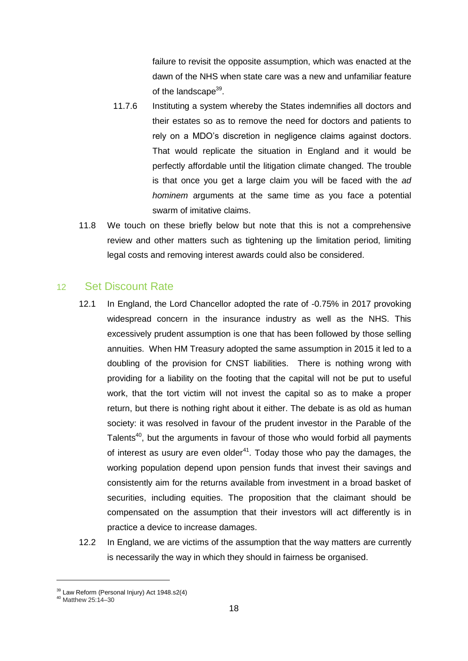failure to revisit the opposite assumption, which was enacted at the dawn of the NHS when state care was a new and unfamiliar feature of the landscape<sup>39</sup>.

- 11.7.6 Instituting a system whereby the States indemnifies all doctors and their estates so as to remove the need for doctors and patients to rely on a MDO's discretion in negligence claims against doctors. That would replicate the situation in England and it would be perfectly affordable until the litigation climate changed. The trouble is that once you get a large claim you will be faced with the *ad hominem* arguments at the same time as you face a potential swarm of imitative claims.
- 11.8 We touch on these briefly below but note that this is not a comprehensive review and other matters such as tightening up the limitation period, limiting legal costs and removing interest awards could also be considered.

#### 12 Set Discount Rate

- 12.1 In England, the Lord Chancellor adopted the rate of -0.75% in 2017 provoking widespread concern in the insurance industry as well as the NHS. This excessively prudent assumption is one that has been followed by those selling annuities. When HM Treasury adopted the same assumption in 2015 it led to a doubling of the provision for CNST liabilities. There is nothing wrong with providing for a liability on the footing that the capital will not be put to useful work, that the tort victim will not invest the capital so as to make a proper return, but there is nothing right about it either. The debate is as old as human society: it was resolved in favour of the prudent investor in the Parable of the Talents $40$ , but the arguments in favour of those who would forbid all payments of interest as usury are even older $41$ . Today those who pay the damages, the working population depend upon pension funds that invest their savings and consistently aim for the returns available from investment in a broad basket of securities, including equities. The proposition that the claimant should be compensated on the assumption that their investors will act differently is in practice a device to increase damages.
- 12.2 In England, we are victims of the assumption that the way matters are currently is necessarily the way in which they should in fairness be organised.

<sup>&</sup>lt;sup>39</sup> Law Reform (Personal Injury) Act 1948.s2(4)

<sup>40</sup> Matthew 25:14–30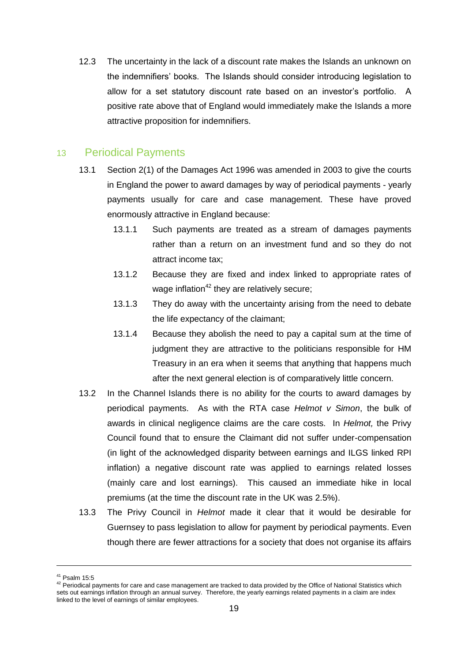12.3 The uncertainty in the lack of a discount rate makes the Islands an unknown on the indemnifiers' books. The Islands should consider introducing legislation to allow for a set statutory discount rate based on an investor's portfolio. A positive rate above that of England would immediately make the Islands a more attractive proposition for indemnifiers.

#### 13 Periodical Payments

- 13.1 Section 2(1) of the Damages Act 1996 was amended in 2003 to give the courts in England the power to award damages by way of periodical payments - yearly payments usually for care and case management. These have proved enormously attractive in England because:
	- 13.1.1 Such payments are treated as a stream of damages payments rather than a return on an investment fund and so they do not attract income tax;
	- 13.1.2 Because they are fixed and index linked to appropriate rates of wage inflation<sup>42</sup> they are relatively secure;
	- 13.1.3 They do away with the uncertainty arising from the need to debate the life expectancy of the claimant;
	- 13.1.4 Because they abolish the need to pay a capital sum at the time of judgment they are attractive to the politicians responsible for HM Treasury in an era when it seems that anything that happens much after the next general election is of comparatively little concern.
- 13.2 In the Channel Islands there is no ability for the courts to award damages by periodical payments. As with the RTA case *Helmot v Simon*, the bulk of awards in clinical negligence claims are the care costs. In *Helmot,* the Privy Council found that to ensure the Claimant did not suffer under-compensation (in light of the acknowledged disparity between earnings and ILGS linked RPI inflation) a negative discount rate was applied to earnings related losses (mainly care and lost earnings). This caused an immediate hike in local premiums (at the time the discount rate in the UK was 2.5%).
- 13.3 The Privy Council in *Helmot* made it clear that it would be desirable for Guernsey to pass legislation to allow for payment by periodical payments. Even though there are fewer attractions for a society that does not organise its affairs

 $41$  Psalm 15:5

<sup>&</sup>lt;sup>42</sup> Periodical payments for care and case management are tracked to data provided by the Office of National Statistics which sets out earnings inflation through an annual survey. Therefore, the yearly earnings related payments in a claim are index linked to the level of earnings of similar employees.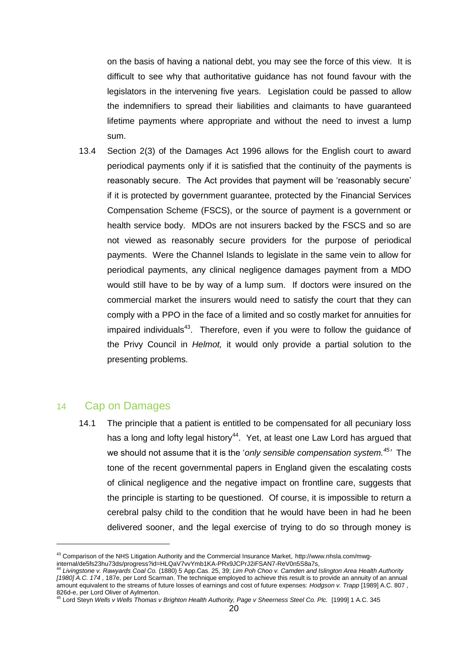on the basis of having a national debt, you may see the force of this view. It is difficult to see why that authoritative guidance has not found favour with the legislators in the intervening five years. Legislation could be passed to allow the indemnifiers to spread their liabilities and claimants to have guaranteed lifetime payments where appropriate and without the need to invest a lump sum.

13.4 Section 2(3) of the Damages Act 1996 allows for the English court to award periodical payments only if it is satisfied that the continuity of the payments is reasonably secure. The Act provides that payment will be 'reasonably secure' if it is protected by government guarantee, protected by the Financial Services Compensation Scheme (FSCS), or the source of payment is a government or health service body. MDOs are not insurers backed by the FSCS and so are not viewed as reasonably secure providers for the purpose of periodical payments. Were the Channel Islands to legislate in the same vein to allow for periodical payments, any clinical negligence damages payment from a MDO would still have to be by way of a lump sum. If doctors were insured on the commercial market the insurers would need to satisfy the court that they can comply with a PPO in the face of a limited and so costly market for annuities for impaired individuals $43$ . Therefore, even if you were to follow the guidance of the Privy Council in *Helmot,* it would only provide a partial solution to the presenting problems.

#### 14 Cap on Damages

-

14.1 The principle that a patient is entitled to be compensated for all pecuniary loss has a long and lofty legal history<sup>44</sup>. Yet, at least one Law Lord has argued that we should not assume that it is the '*only sensible compensation system.<sup>45</sup> '* The tone of the recent governmental papers in England given the escalating costs of clinical negligence and the negative impact on frontline care, suggests that the principle is starting to be questioned. Of course, it is impossible to return a cerebral palsy child to the condition that he would have been in had he been delivered sooner, and the legal exercise of trying to do so through money is

<sup>43</sup> Comparison of the NHS Litigation Authority and the Commercial Insurance Market, http://www.nhsla.com/mwginternal/de5fs23hu73ds/progress?id=HLQaV7vvYmb1KA-PRx9JCPrJ2iFSAN7-ReV0n5S8a7s,

<sup>44</sup> *Livingstone v. Rawyards Coal Co.* (1880) 5 App.Cas. 25, 39; *Lim Poh Choo v. Camden and Islington Area Health Authority [1980] A.C. 174* , 187e, per Lord Scarman. The technique employed to achieve this result is to provide an annuity of an annual

amount equivalent to the streams of future losses of earnings and cost of future expenses: *Hodgson v. Trapp* [1989] A.C. 807 , 826d-e, per Lord Oliver of Aylmerton.

<sup>45</sup> Lord Steyn *Wells v Wells Thomas v Brighton Health Authority, Page v Sheerness Steel Co. Plc.* [1999] 1 A.C. 345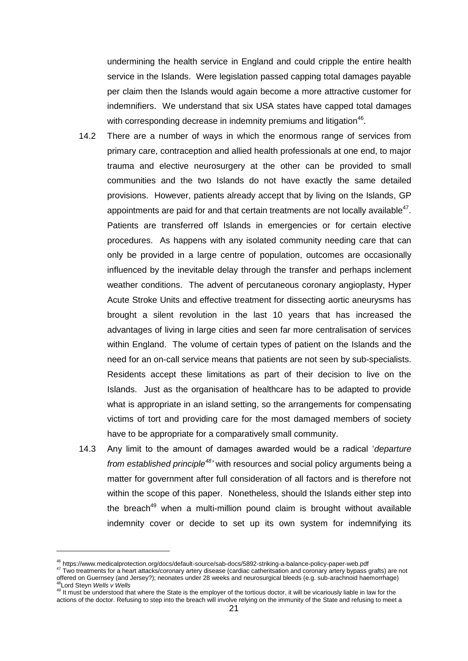undermining the health service in England and could cripple the entire health service in the Islands. Were legislation passed capping total damages payable per claim then the Islands would again become a more attractive customer for indemnifiers. We understand that six USA states have capped total damages with corresponding decrease in indemnity premiums and litigation<sup>46</sup>.

- 14.2 There are a number of ways in which the enormous range of services from primary care, contraception and allied health professionals at one end, to major trauma and elective neurosurgery at the other can be provided to small communities and the two Islands do not have exactly the same detailed provisions. However, patients already accept that by living on the Islands, GP appointments are paid for and that certain treatments are not locally available $47$ . Patients are transferred off Islands in emergencies or for certain elective procedures. As happens with any isolated community needing care that can only be provided in a large centre of population, outcomes are occasionally influenced by the inevitable delay through the transfer and perhaps inclement weather conditions. The advent of percutaneous coronary angioplasty, Hyper Acute Stroke Units and effective treatment for dissecting aortic aneurysms has brought a silent revolution in the last 10 years that has increased the advantages of living in large cities and seen far more centralisation of services within England. The volume of certain types of patient on the Islands and the need for an on-call service means that patients are not seen by sub-specialists. Residents accept these limitations as part of their decision to live on the Islands. Just as the organisation of healthcare has to be adapted to provide what is appropriate in an island setting, so the arrangements for compensating victims of tort and providing care for the most damaged members of society have to be appropriate for a comparatively small community.
- 14.3 Any limit to the amount of damages awarded would be a radical '*departure from established principle<sup>48</sup>'* with resources and social policy arguments being a matter for government after full consideration of all factors and is therefore not within the scope of this paper. Nonetheless, should the Islands either step into the breach<sup>49</sup> when a multi-million pound claim is brought without available indemnity cover or decide to set up its own system for indemnifying its

<sup>46</sup> https://www.medicalprotection.org/docs/default-source/sab-docs/5892-striking-a-balance-policy-paper-web.pdf

<sup>47</sup> Two treatments for a heart attacks/coronary artery disease (cardiac catheritsation and coronary artery bypass grafts) are not offered on Guernsey (and Jersey?); neonates under 28 weeks and neurosurgical bleeds (e.g. sub-arachnoid haemorrhage) <sup>48</sup>Lord Steyn *Wells v Wells*

<sup>&</sup>lt;sup>49</sup> It must be understood that where the State is the employer of the tortious doctor, it will be vicariously liable in law for the actions of the doctor. Refusing to step into the breach will involve relying on the immunity of the State and refusing to meet a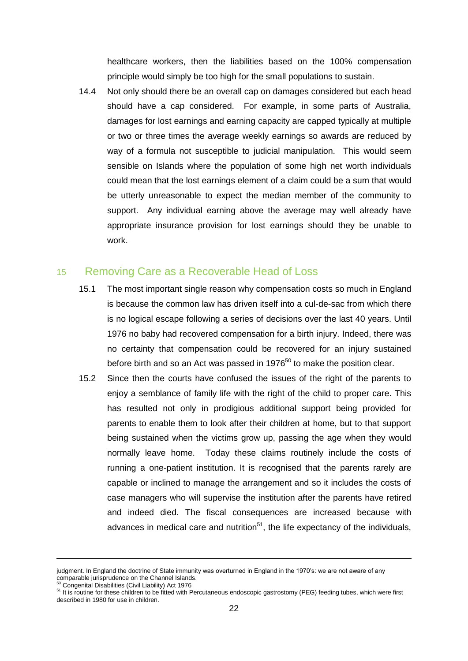healthcare workers, then the liabilities based on the 100% compensation principle would simply be too high for the small populations to sustain.

14.4 Not only should there be an overall cap on damages considered but each head should have a cap considered. For example, in some parts of Australia, damages for lost earnings and earning capacity are capped typically at multiple or two or three times the average weekly earnings so awards are reduced by way of a formula not susceptible to judicial manipulation. This would seem sensible on Islands where the population of some high net worth individuals could mean that the lost earnings element of a claim could be a sum that would be utterly unreasonable to expect the median member of the community to support. Any individual earning above the average may well already have appropriate insurance provision for lost earnings should they be unable to work.

#### 15 Removing Care as a Recoverable Head of Loss

- 15.1 The most important single reason why compensation costs so much in England is because the common law has driven itself into a cul-de-sac from which there is no logical escape following a series of decisions over the last 40 years. Until 1976 no baby had recovered compensation for a birth injury. Indeed, there was no certainty that compensation could be recovered for an injury sustained before birth and so an Act was passed in 1976<sup>50</sup> to make the position clear.
- 15.2 Since then the courts have confused the issues of the right of the parents to enjoy a semblance of family life with the right of the child to proper care. This has resulted not only in prodigious additional support being provided for parents to enable them to look after their children at home, but to that support being sustained when the victims grow up, passing the age when they would normally leave home. Today these claims routinely include the costs of running a one-patient institution. It is recognised that the parents rarely are capable or inclined to manage the arrangement and so it includes the costs of case managers who will supervise the institution after the parents have retired and indeed died. The fiscal consequences are increased because with advances in medical care and nutrition<sup>51</sup>, the life expectancy of the individuals,

judgment. In England the doctrine of State immunity was overturned in England in the 1970's: we are not aware of any comparable jurisprudence on the Channel Islands. <sup>50</sup> Congenital Disabilities (Civil Liability) Act 1976

<sup>51</sup> It is routine for these children to be fitted with Percutaneous endoscopic gastrostomy (PEG) feeding tubes, which were first described in 1980 for use in children.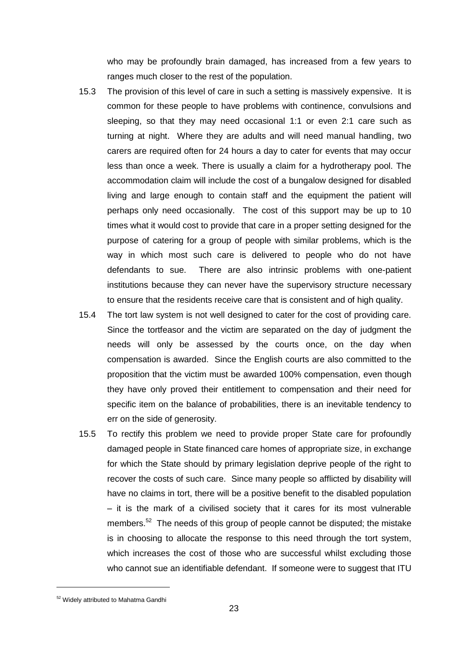who may be profoundly brain damaged, has increased from a few years to ranges much closer to the rest of the population.

- 15.3 The provision of this level of care in such a setting is massively expensive. It is common for these people to have problems with continence, convulsions and sleeping, so that they may need occasional 1:1 or even 2:1 care such as turning at night. Where they are adults and will need manual handling, two carers are required often for 24 hours a day to cater for events that may occur less than once a week. There is usually a claim for a hydrotherapy pool. The accommodation claim will include the cost of a bungalow designed for disabled living and large enough to contain staff and the equipment the patient will perhaps only need occasionally. The cost of this support may be up to 10 times what it would cost to provide that care in a proper setting designed for the purpose of catering for a group of people with similar problems, which is the way in which most such care is delivered to people who do not have defendants to sue. There are also intrinsic problems with one-patient institutions because they can never have the supervisory structure necessary to ensure that the residents receive care that is consistent and of high quality.
- 15.4 The tort law system is not well designed to cater for the cost of providing care. Since the tortfeasor and the victim are separated on the day of judgment the needs will only be assessed by the courts once, on the day when compensation is awarded. Since the English courts are also committed to the proposition that the victim must be awarded 100% compensation, even though they have only proved their entitlement to compensation and their need for specific item on the balance of probabilities, there is an inevitable tendency to err on the side of generosity.
- 15.5 To rectify this problem we need to provide proper State care for profoundly damaged people in State financed care homes of appropriate size, in exchange for which the State should by primary legislation deprive people of the right to recover the costs of such care. Since many people so afflicted by disability will have no claims in tort, there will be a positive benefit to the disabled population – it is the mark of a civilised society that it cares for its most vulnerable members.<sup>52</sup> The needs of this group of people cannot be disputed; the mistake is in choosing to allocate the response to this need through the tort system, which increases the cost of those who are successful whilst excluding those who cannot sue an identifiable defendant. If someone were to suggest that ITU

 $\overline{a}$ 

<sup>&</sup>lt;sup>52</sup> Widely attributed to Mahatma Gandhi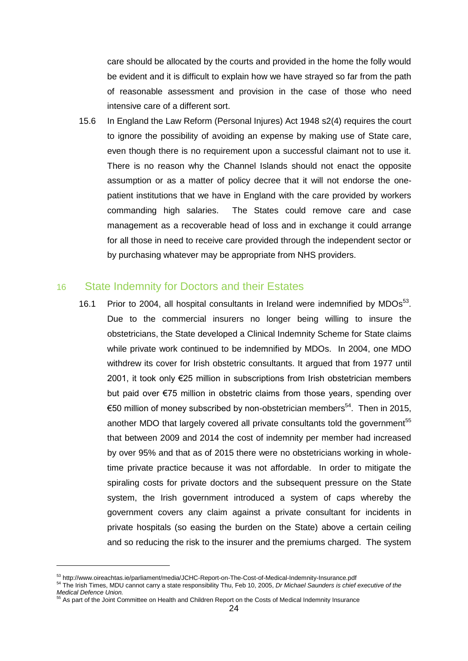care should be allocated by the courts and provided in the home the folly would be evident and it is difficult to explain how we have strayed so far from the path of reasonable assessment and provision in the case of those who need intensive care of a different sort.

15.6 In England the Law Reform (Personal Injures) Act 1948 s2(4) requires the court to ignore the possibility of avoiding an expense by making use of State care, even though there is no requirement upon a successful claimant not to use it. There is no reason why the Channel Islands should not enact the opposite assumption or as a matter of policy decree that it will not endorse the onepatient institutions that we have in England with the care provided by workers commanding high salaries. The States could remove care and case management as a recoverable head of loss and in exchange it could arrange for all those in need to receive care provided through the independent sector or by purchasing whatever may be appropriate from NHS providers.

#### 16 State Indemnity for Doctors and their Estates

16.1 Prior to 2004, all hospital consultants in Ireland were indemnified by  $MDOs<sup>53</sup>$ . Due to the commercial insurers no longer being willing to insure the obstetricians, the State developed a Clinical Indemnity Scheme for State claims while private work continued to be indemnified by MDOs. In 2004, one MDO withdrew its cover for Irish obstetric consultants. It argued that from 1977 until 2001, it took only €25 million in subscriptions from Irish obstetrician members but paid over €75 million in obstetric claims from those years, spending over €50 million of money subscribed by non-obstetrician members<sup>54</sup>. Then in 2015, another MDO that largely covered all private consultants told the government<sup>55</sup> that between 2009 and 2014 the cost of indemnity per member had increased by over 95% and that as of 2015 there were no obstetricians working in wholetime private practice because it was not affordable. In order to mitigate the spiraling costs for private doctors and the subsequent pressure on the State system, the Irish government introduced a system of caps whereby the government covers any claim against a private consultant for incidents in private hospitals (so easing the burden on the State) above a certain ceiling and so reducing the risk to the insurer and the premiums charged. The system

<sup>&</sup>lt;sup>53</sup> http://www.oireachtas.ie/parliament/media/JCHC-Report-on-The-Cost-of-Medical-Indemnity-Insurance.pdf

<sup>54</sup> The Irish Times, MDU cannot carry a state responsibility Thu, Feb 10, 2005, *Dr Michael Saunders is chief executive of the Medical Defence Union.*

<sup>&</sup>lt;sup>55</sup> As part of the Joint Committee on Health and Children Report on the Costs of Medical Indemnity Insurance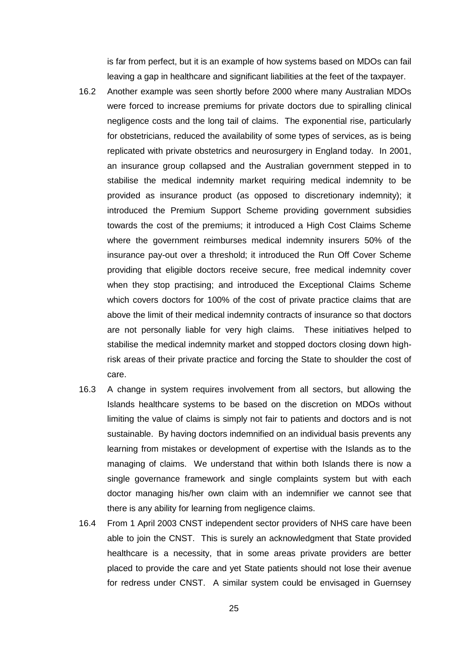is far from perfect, but it is an example of how systems based on MDOs can fail leaving a gap in healthcare and significant liabilities at the feet of the taxpayer.

- 16.2 Another example was seen shortly before 2000 where many Australian MDOs were forced to increase premiums for private doctors due to spiralling clinical negligence costs and the long tail of claims. The exponential rise, particularly for obstetricians, reduced the availability of some types of services, as is being replicated with private obstetrics and neurosurgery in England today. In 2001, an insurance group collapsed and the Australian government stepped in to stabilise the medical indemnity market requiring medical indemnity to be provided as insurance product (as opposed to discretionary indemnity); it introduced the Premium Support Scheme providing government subsidies towards the cost of the premiums; it introduced a High Cost Claims Scheme where the government reimburses medical indemnity insurers 50% of the insurance pay-out over a threshold; it introduced the Run Off Cover Scheme providing that eligible doctors receive secure, free medical indemnity cover when they stop practising; and introduced the Exceptional Claims Scheme which covers doctors for 100% of the cost of private practice claims that are above the limit of their medical indemnity contracts of insurance so that doctors are not personally liable for very high claims. These initiatives helped to stabilise the medical indemnity market and stopped doctors closing down highrisk areas of their private practice and forcing the State to shoulder the cost of care.
- 16.3 A change in system requires involvement from all sectors, but allowing the Islands healthcare systems to be based on the discretion on MDOs without limiting the value of claims is simply not fair to patients and doctors and is not sustainable. By having doctors indemnified on an individual basis prevents any learning from mistakes or development of expertise with the Islands as to the managing of claims. We understand that within both Islands there is now a single governance framework and single complaints system but with each doctor managing his/her own claim with an indemnifier we cannot see that there is any ability for learning from negligence claims.
- 16.4 From 1 April 2003 CNST independent sector providers of NHS care have been able to join the CNST. This is surely an acknowledgment that State provided healthcare is a necessity, that in some areas private providers are better placed to provide the care and yet State patients should not lose their avenue for redress under CNST. A similar system could be envisaged in Guernsey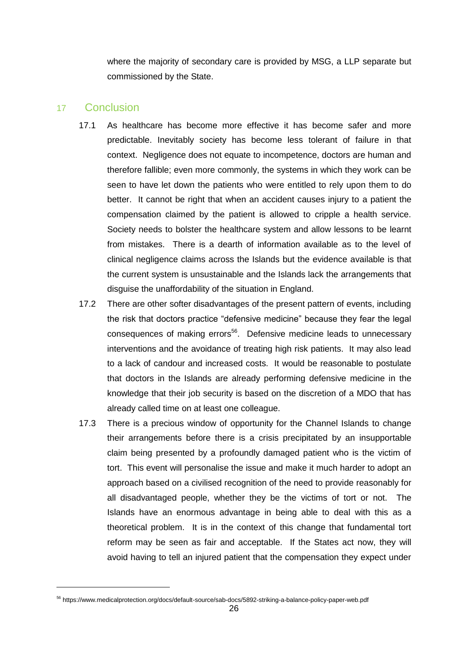where the majority of secondary care is provided by MSG, a LLP separate but commissioned by the State.

#### 17 Conclusion

 $\overline{a}$ 

- 17.1 As healthcare has become more effective it has become safer and more predictable. Inevitably society has become less tolerant of failure in that context. Negligence does not equate to incompetence, doctors are human and therefore fallible; even more commonly, the systems in which they work can be seen to have let down the patients who were entitled to rely upon them to do better. It cannot be right that when an accident causes injury to a patient the compensation claimed by the patient is allowed to cripple a health service. Society needs to bolster the healthcare system and allow lessons to be learnt from mistakes. There is a dearth of information available as to the level of clinical negligence claims across the Islands but the evidence available is that the current system is unsustainable and the Islands lack the arrangements that disguise the unaffordability of the situation in England.
- 17.2 There are other softer disadvantages of the present pattern of events, including the risk that doctors practice "defensive medicine" because they fear the legal consequences of making errors<sup>56</sup>. Defensive medicine leads to unnecessary interventions and the avoidance of treating high risk patients. It may also lead to a lack of candour and increased costs. It would be reasonable to postulate that doctors in the Islands are already performing defensive medicine in the knowledge that their job security is based on the discretion of a MDO that has already called time on at least one colleague.
- 17.3 There is a precious window of opportunity for the Channel Islands to change their arrangements before there is a crisis precipitated by an insupportable claim being presented by a profoundly damaged patient who is the victim of tort. This event will personalise the issue and make it much harder to adopt an approach based on a civilised recognition of the need to provide reasonably for all disadvantaged people, whether they be the victims of tort or not. The Islands have an enormous advantage in being able to deal with this as a theoretical problem. It is in the context of this change that fundamental tort reform may be seen as fair and acceptable. If the States act now, they will avoid having to tell an injured patient that the compensation they expect under

<sup>56</sup> https://www.medicalprotection.org/docs/default-source/sab-docs/5892-striking-a-balance-policy-paper-web.pdf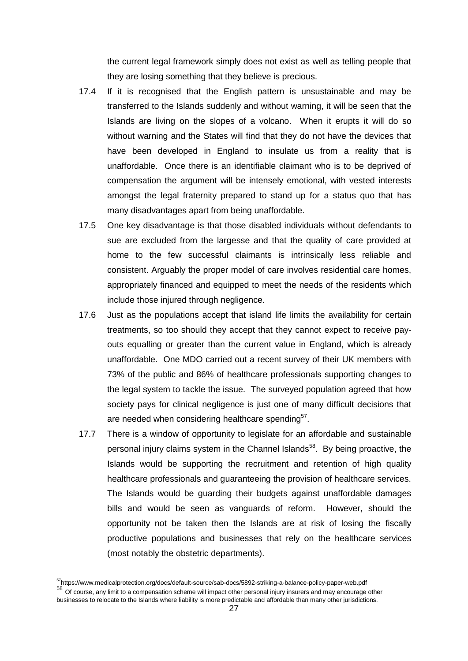the current legal framework simply does not exist as well as telling people that they are losing something that they believe is precious.

- 17.4 If it is recognised that the English pattern is unsustainable and may be transferred to the Islands suddenly and without warning, it will be seen that the Islands are living on the slopes of a volcano. When it erupts it will do so without warning and the States will find that they do not have the devices that have been developed in England to insulate us from a reality that is unaffordable. Once there is an identifiable claimant who is to be deprived of compensation the argument will be intensely emotional, with vested interests amongst the legal fraternity prepared to stand up for a status quo that has many disadvantages apart from being unaffordable.
- 17.5 One key disadvantage is that those disabled individuals without defendants to sue are excluded from the largesse and that the quality of care provided at home to the few successful claimants is intrinsically less reliable and consistent. Arguably the proper model of care involves residential care homes, appropriately financed and equipped to meet the needs of the residents which include those injured through negligence.
- 17.6 Just as the populations accept that island life limits the availability for certain treatments, so too should they accept that they cannot expect to receive payouts equalling or greater than the current value in England, which is already unaffordable. One MDO carried out a recent survey of their UK members with 73% of the public and 86% of healthcare professionals supporting changes to the legal system to tackle the issue. The surveyed population agreed that how society pays for clinical negligence is just one of many difficult decisions that are needed when considering healthcare spending<sup>57</sup>.
- 17.7 There is a window of opportunity to legislate for an affordable and sustainable personal injury claims system in the Channel Islands<sup>58</sup>. By being proactive, the Islands would be supporting the recruitment and retention of high quality healthcare professionals and guaranteeing the provision of healthcare services. The Islands would be guarding their budgets against unaffordable damages bills and would be seen as vanguards of reform. However, should the opportunity not be taken then the Islands are at risk of losing the fiscally productive populations and businesses that rely on the healthcare services (most notably the obstetric departments).

<sup>57</sup>https://www.medicalprotection.org/docs/default-source/sab-docs/5892-striking-a-balance-policy-paper-web.pdf

<sup>58</sup> Of course, any limit to a compensation scheme will impact other personal injury insurers and may encourage other businesses to relocate to the Islands where liability is more predictable and affordable than many other jurisdictions.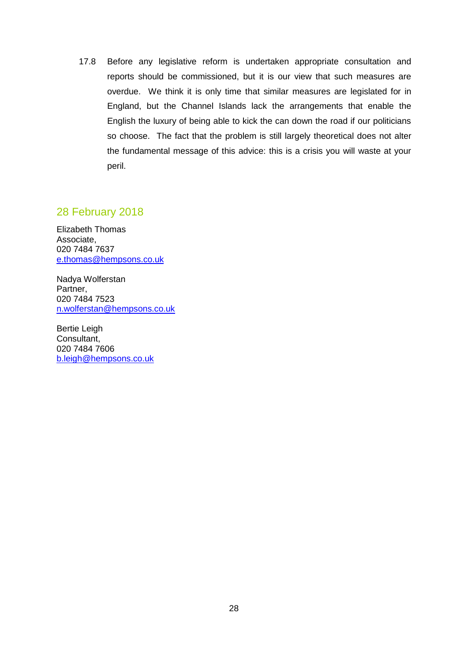17.8 Before any legislative reform is undertaken appropriate consultation and reports should be commissioned, but it is our view that such measures are overdue. We think it is only time that similar measures are legislated for in England, but the Channel Islands lack the arrangements that enable the English the luxury of being able to kick the can down the road if our politicians so choose. The fact that the problem is still largely theoretical does not alter the fundamental message of this advice: this is a crisis you will waste at your peril.

#### 28 February 2018

Elizabeth Thomas Associate, 020 7484 7637 e.thomas@hempsons.co.uk

Nadya Wolferstan Partner, 020 7484 7523 n.wolferstan@hempsons.co.uk

Bertie Leigh Consultant, 020 7484 7606 b.leigh@hempsons.co.uk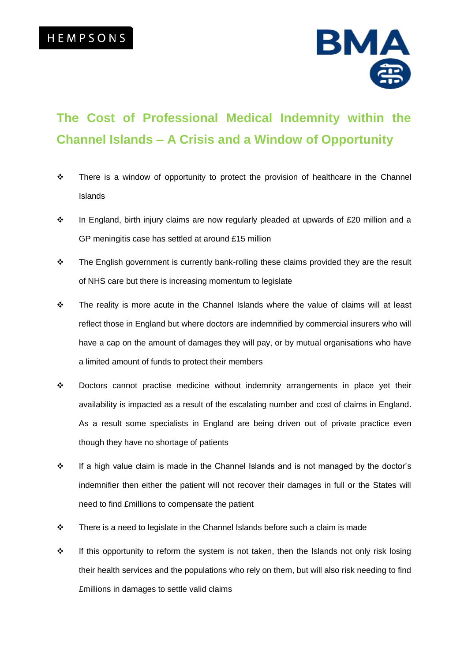

## **The Cost of Professional Medical Indemnity within the Channel Islands – A Crisis and a Window of Opportunity**

- $\div$  There is a window of opportunity to protect the provision of healthcare in the Channel Islands
- $\cdot \cdot$  In England, birth injury claims are now regularly pleaded at upwards of £20 million and a GP meningitis case has settled at around £15 million
- \* The English government is currently bank-rolling these claims provided they are the result of NHS care but there is increasing momentum to legislate
- \* The reality is more acute in the Channel Islands where the value of claims will at least reflect those in England but where doctors are indemnified by commercial insurers who will have a cap on the amount of damages they will pay, or by mutual organisations who have a limited amount of funds to protect their members
- $\div$  Doctors cannot practise medicine without indemnity arrangements in place yet their availability is impacted as a result of the escalating number and cost of claims in England. As a result some specialists in England are being driven out of private practice even though they have no shortage of patients
- $\cdot \cdot$  If a high value claim is made in the Channel Islands and is not managed by the doctor's indemnifier then either the patient will not recover their damages in full or the States will need to find £millions to compensate the patient
- $\div$  There is a need to legislate in the Channel Islands before such a claim is made
- $\div$  If this opportunity to reform the system is not taken, then the Islands not only risk losing their health services and the populations who rely on them, but will also risk needing to find £millions in damages to settle valid claims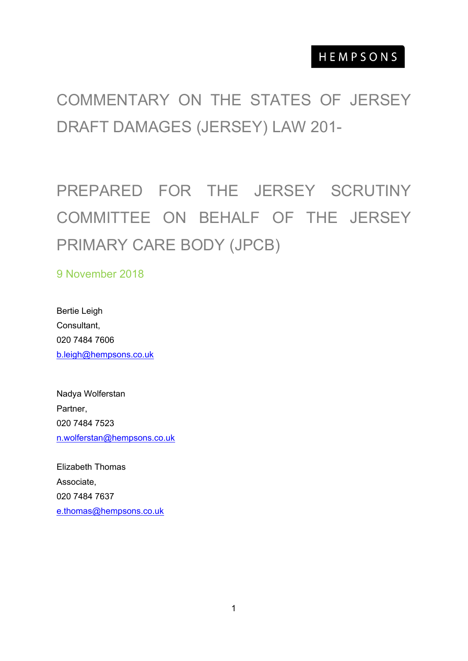# COMMENTARY ON THE STATES OF JERSEY DRAFT DAMAGES (JERSEY) LAW 201-

PREPARED FOR THE JERSEY SCRUTINY COMMITTEE ON BEHALF OF THE JERSEY PRIMARY CARE BODY (JPCB)

9 November 2018

Bertie Leigh Consultant, 020 7484 7606 [b.leigh@hempsons.co.uk](mailto:b.leigh@hempsons.co.uk)

Nadya Wolferstan Partner, 020 7484 7523 [n.wolferstan@hempsons.co.uk](mailto:n.wolferstan@hempsons.co.uk)

Elizabeth Thomas Associate, 020 7484 7637 [e.thomas@hempsons.co.uk](mailto:e.thomas@hempsons.co.uk)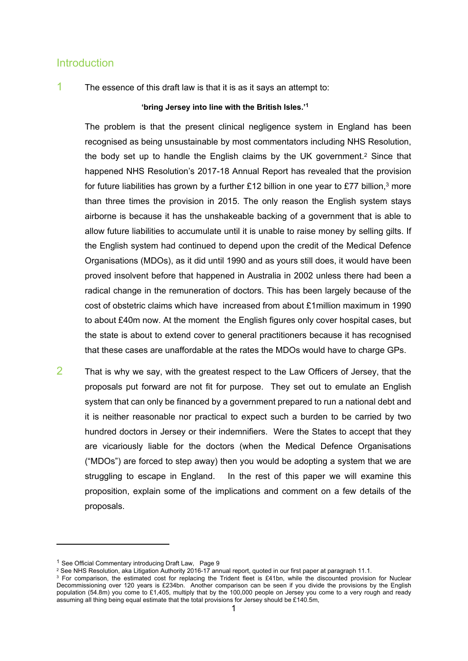#### **Introduction**

1 The essence of this draft law is that it is as it says an attempt to:

#### **'bring Jersey into line with the British Isles.'<sup>1</sup>**

The problem is that the present clinical negligence system in England has been recognised as being unsustainable by most commentators including NHS Resolution, the body set up to handle the English claims by the UK government.<sup>2</sup> Since that happened NHS Resolution's 2017-18 Annual Report has revealed that the provision for future liabilities has grown by a further £12 billion in one year to £77 billion,<sup>3</sup> more than three times the provision in 2015. The only reason the English system stays airborne is because it has the unshakeable backing of a government that is able to allow future liabilities to accumulate until it is unable to raise money by selling gilts. If the English system had continued to depend upon the credit of the Medical Defence Organisations (MDOs), as it did until 1990 and as yours still does, it would have been proved insolvent before that happened in Australia in 2002 unless there had been a radical change in the remuneration of doctors. This has been largely because of the cost of obstetric claims which have increased from about £1million maximum in 1990 to about £40m now. At the moment the English figures only cover hospital cases, but the state is about to extend cover to general practitioners because it has recognised that these cases are unaffordable at the rates the MDOs would have to charge GPs.

 $2$  That is why we say, with the greatest respect to the Law Officers of Jersey, that the proposals put forward are not fit for purpose. They set out to emulate an English system that can only be financed by a government prepared to run a national debt and it is neither reasonable nor practical to expect such a burden to be carried by two hundred doctors in Jersey or their indemnifiers. Were the States to accept that they are vicariously liable for the doctors (when the Medical Defence Organisations ("MDOs") are forced to step away) then you would be adopting a system that we are struggling to escape in England. In the rest of this paper we will examine this proposition, explain some of the implications and comment on a few details of the proposals.

<sup>&</sup>lt;sup>1</sup> See Official Commentary introducing Draft Law, Page 9

<sup>2</sup> See NHS Resolution, aka Litigation Authority 2016-17 annual report, quoted in our first paper at paragraph 11.1.

 $3$  For comparison, the estimated cost for replacing the Trident fleet is £41bn, while the discounted provision for Nuclear Decommissioning over 120 years is £234bn. Another comparison can be seen if you divide the provisions by the English population (54.8m) you come to £1,405, multiply that by the 100,000 people on Jersey you come to a very rough and ready assuming all thing being equal estimate that the total provisions for Jersey should be £140.5m,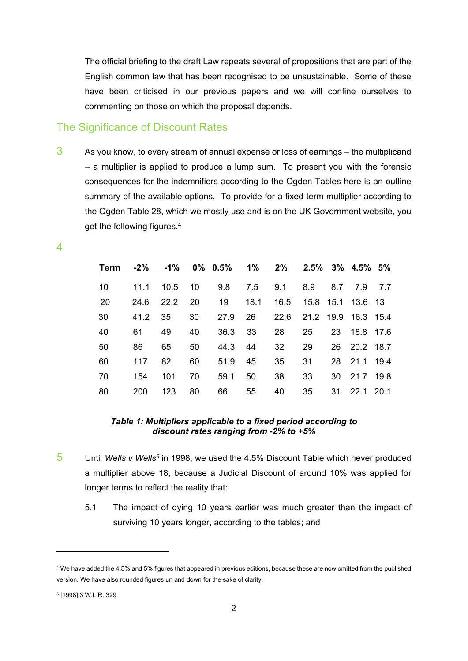The official briefing to the draft Law repeats several of propositions that are part of the English common law that has been recognised to be unsustainable. Some of these have been criticised in our previous papers and we will confine ourselves to commenting on those on which the proposal depends.

#### The Significance of Discount Rates

 $3$  As you know, to every stream of annual expense or loss of earnings – the multiplicand – a multiplier is applied to produce a lump sum. To present you with the forensic consequences for the indemnifiers according to the Ogden Tables here is an outline summary of the available options. To provide for a fixed term multiplier according to the Ogden Table 28, which we mostly use and is on the UK Government website, you get the following figures.<sup>4</sup>

> **Term -2% -1% 0% 0.5% 1% 2% 2.5% 3% 4.5% 5%** 11.1 10.5 10 9.8 7.5 9.1 8.9 8.7 7.9 7.7 20 24.6 22.2 20 19 18.1 16.5 15.8 15.1 13.6 13 41.2 35 30 27.9 26 22.6 21.2 19.9 16.3 15.4 61 49 40 36.3 33 28 25 23 18.8 17.6 86 65 50 44.3 44 32 29 26 20.2 18.7 117 82 60 51.9 45 35 31 28 21.1 19.4 154 101 70 59.1 50 38 33 30 21.7 19.8 200 123 80 66 55 40 35 31 22.1 20.1

#### *Table 1: Multipliers applicable to a fixed period according to discount rates ranging from -2% to +5%*

- 5 Until *Wells v Wells<sup>5</sup>* in 1998, we used the 4.5% Discount Table which never produced a multiplier above 18, because a Judicial Discount of around 10% was applied for longer terms to reflect the reality that:
	- 5.1 The impact of dying 10 years earlier was much greater than the impact of surviving 10 years longer, according to the tables; and

4

<sup>4</sup> We have added the 4.5% and 5% figures that appeared in previous editions, because these are now omitted from the published version. We have also rounded figures un and down for the sake of clarity.

<sup>5</sup> [1998] 3 W.L.R. 329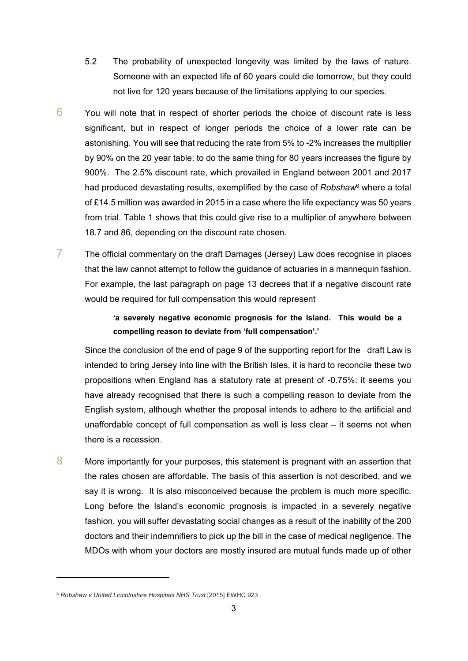- 5.2 The probability of unexpected longevity was limited by the laws of nature. Someone with an expected life of 60 years could die tomorrow, but they could not live for 120 years because of the limitations applying to our species.
- $6$  You will note that in respect of shorter periods the choice of discount rate is less significant, but in respect of longer periods the choice of a lower rate can be astonishing. You will see that reducing the rate from 5% to -2% increases the multiplier by 90% on the 20 year table: to do the same thing for 80 years increases the figure by 900%. The 2.5% discount rate, which prevailed in England between 2001 and 2017 had produced devastating results, exemplified by the case of *Robshaw*<sup>6</sup> where a total of £14.5 million was awarded in 2015 in a case where the life expectancy was 50 years from trial. Table 1 shows that this could give rise to a multiplier of anywhere between 18.7 and 86, depending on the discount rate chosen.
- $7$  The official commentary on the draft Damages (Jersey) Law does recognise in places that the law cannot attempt to follow the guidance of actuaries in a mannequin fashion. For example, the last paragraph on page 13 decrees that if a negative discount rate would be required for full compensation this would represent

#### **'a severely negative economic prognosis for the Island. This would be a compelling reason to deviate from 'full compensation'.'**

Since the conclusion of the end of page 9 of the supporting report for the draft Law is intended to bring Jersey into line with the British Isles, it is hard to reconcile these two propositions when England has a statutory rate at present of -0.75%: it seems you have already recognised that there is such a compelling reason to deviate from the English system, although whether the proposal intends to adhere to the artificial and unaffordable concept of full compensation as well is less clear – it seems not when there is a recession.

8 More importantly for your purposes, this statement is pregnant with an assertion that the rates chosen are affordable. The basis of this assertion is not described, and we say it is wrong. It is also misconceived because the problem is much more specific. Long before the Island's economic prognosis is impacted in a severely negative fashion, you will suffer devastating social changes as a result of the inability of the 200 doctors and their indemnifiers to pick up the bill in the case of medical negligence. The MDOs with whom your doctors are mostly insured are mutual funds made up of other

<sup>6</sup> *Robshaw v United Lincolnshire Hospitals NHS Trust* [2015] EWHC 923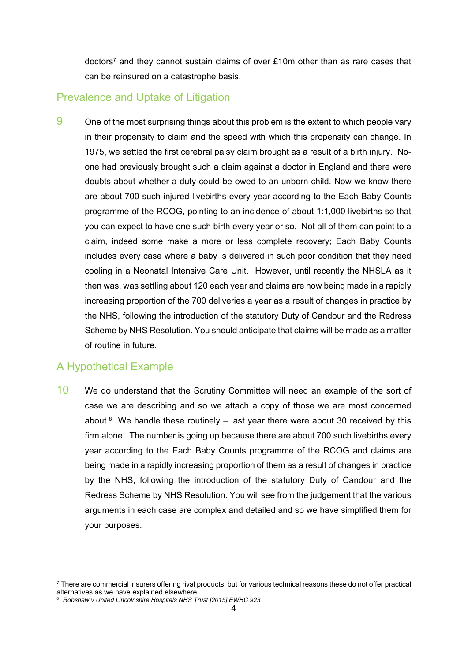doctors<sup>7</sup> and they cannot sustain claims of over £10m other than as rare cases that can be reinsured on a catastrophe basis.

#### Prevalence and Uptake of Litigation

9 One of the most surprising things about this problem is the extent to which people vary in their propensity to claim and the speed with which this propensity can change. In 1975, we settled the first cerebral palsy claim brought as a result of a birth injury. Noone had previously brought such a claim against a doctor in England and there were doubts about whether a duty could be owed to an unborn child. Now we know there are about 700 such injured livebirths every year according to the Each Baby Counts programme of the RCOG, pointing to an incidence of about 1:1,000 livebirths so that you can expect to have one such birth every year or so. Not all of them can point to a claim, indeed some make a more or less complete recovery; Each Baby Counts includes every case where a baby is delivered in such poor condition that they need cooling in a Neonatal Intensive Care Unit. However, until recently the NHSLA as it then was, was settling about 120 each year and claims are now being made in a rapidly increasing proportion of the 700 deliveries a year as a result of changes in practice by the NHS, following the introduction of the statutory Duty of Candour and the Redress Scheme by NHS Resolution. You should anticipate that claims will be made as a matter of routine in future.

### A Hypothetical Example

10 We do understand that the Scrutiny Committee will need an example of the sort of case we are describing and so we attach a copy of those we are most concerned about. $8$  We handle these routinely  $-$  last year there were about 30 received by this firm alone. The number is going up because there are about 700 such livebirths every year according to the Each Baby Counts programme of the RCOG and claims are being made in a rapidly increasing proportion of them as a result of changes in practice by the NHS, following the introduction of the statutory Duty of Candour and the Redress Scheme by NHS Resolution. You will see from the judgement that the various arguments in each case are complex and detailed and so we have simplified them for your purposes.

<sup>7</sup> There are commercial insurers offering rival products, but for various technical reasons these do not offer practical alternatives as we have explained elsewhere.

<sup>8</sup> *Robshaw v United Lincolnshire Hospitals NHS Trust [2015] EWHC 923*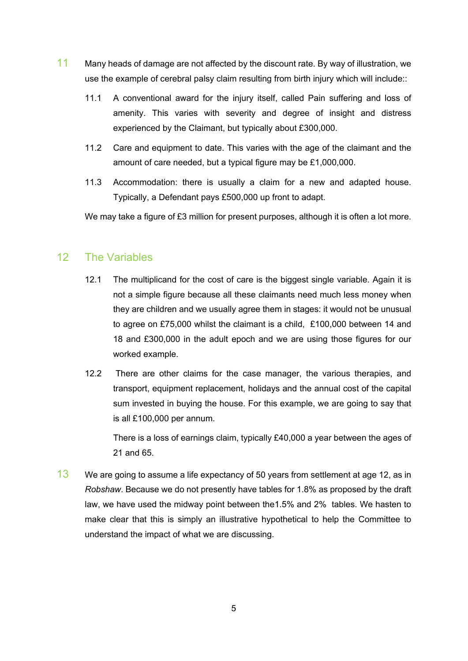- 11 Many heads of damage are not affected by the discount rate. By way of illustration, we use the example of cerebral palsy claim resulting from birth injury which will include::
	- 11.1 A conventional award for the injury itself, called Pain suffering and loss of amenity. This varies with severity and degree of insight and distress experienced by the Claimant, but typically about £300,000.
	- 11.2 Care and equipment to date. This varies with the age of the claimant and the amount of care needed, but a typical figure may be £1,000,000.
	- 11.3 Accommodation: there is usually a claim for a new and adapted house. Typically, a Defendant pays £500,000 up front to adapt.

We may take a figure of £3 million for present purposes, although it is often a lot more.

#### 12 The Variables

- 12.1 The multiplicand for the cost of care is the biggest single variable. Again it is not a simple figure because all these claimants need much less money when they are children and we usually agree them in stages: it would not be unusual to agree on £75,000 whilst the claimant is a child, £100,000 between 14 and 18 and £300,000 in the adult epoch and we are using those figures for our worked example.
- 12.2 There are other claims for the case manager, the various therapies, and transport, equipment replacement, holidays and the annual cost of the capital sum invested in buying the house. For this example, we are going to say that is all £100,000 per annum.

There is a loss of earnings claim, typically £40,000 a year between the ages of 21 and 65.

 $13$  We are going to assume a life expectancy of 50 years from settlement at age 12, as in *Robshaw*. Because we do not presently have tables for 1.8% as proposed by the draft law, we have used the midway point between the1.5% and 2% tables. We hasten to make clear that this is simply an illustrative hypothetical to help the Committee to understand the impact of what we are discussing.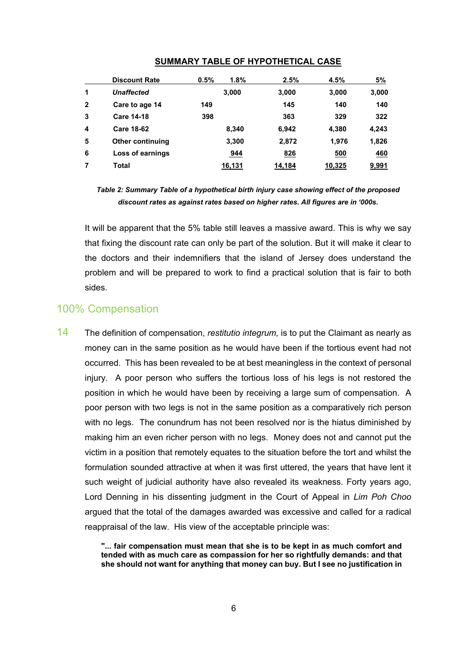|                | <b>Discount Rate</b>    | 0.5% | 1.8%       | 2.5%   | 4.5%   | 5%         |
|----------------|-------------------------|------|------------|--------|--------|------------|
| 1              | <b>Unaffected</b>       |      | 3,000      | 3,000  | 3,000  | 3,000      |
| $\overline{2}$ | Care to age 14          | 149  |            | 145    | 140    | 140        |
| 3              | <b>Care 14-18</b>       | 398  |            | 363    | 329    | 322        |
| 4              | <b>Care 18-62</b>       |      | 8.340      | 6,942  | 4,380  | 4,243      |
| 5              | <b>Other continuing</b> |      | 3,300      | 2,872  | 1,976  | 1,826      |
| 6              | Loss of earnings        |      | <u>944</u> | 826    | 500    | <b>460</b> |
| 7              | Total                   |      | 16,131     | 14,184 | 10,325 | 9,991      |

#### **SUMMARY TABLE OF HYPOTHETICAL CASE**

*Table 2: Summary Table of a hypothetical birth injury case showing effect of the proposed discount rates as against rates based on higher rates. All figures are in '000s.*

It will be apparent that the 5% table still leaves a massive award. This is why we say that fixing the discount rate can only be part of the solution. But it will make it clear to the doctors and their indemnifiers that the island of Jersey does understand the problem and will be prepared to work to find a practical solution that is fair to both sides.

#### 100% Compensation

14 The definition of compensation, *restitutio integrum,* is to put the Claimant as nearly as money can in the same position as he would have been if the tortious event had not occurred. This has been revealed to be at best meaningless in the context of personal injury. A poor person who suffers the tortious loss of his legs is not restored the position in which he would have been by receiving a large sum of compensation. A poor person with two legs is not in the same position as a comparatively rich person with no legs. The conundrum has not been resolved nor is the hiatus diminished by making him an even richer person with no legs. Money does not and cannot put the victim in a position that remotely equates to the situation before the tort and whilst the formulation sounded attractive at when it was first uttered, the years that have lent it such weight of judicial authority have also revealed its weakness. Forty years ago, Lord Denning in his dissenting judgment in the Court of Appeal in *Lim Poh Choo* argued that the total of the damages awarded was excessive and called for a radical reappraisal of the law. His view of the acceptable principle was:

> **"... fair compensation must mean that she is to be kept in as much comfort and tended with as much care as compassion for her so rightfully demands: and that she should not want for anything that money can buy. But I see no justification in**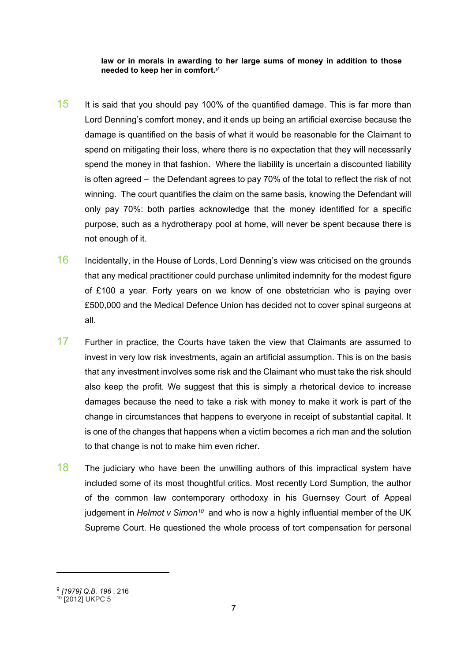#### **law or in morals in awarding to her large sums of money in addition to those needed to keep her in comfort.<sup>9</sup> '**

- $15$  It is said that you should pay 100% of the quantified damage. This is far more than Lord Denning's comfort money, and it ends up being an artificial exercise because the damage is quantified on the basis of what it would be reasonable for the Claimant to spend on mitigating their loss, where there is no expectation that they will necessarily spend the money in that fashion. Where the liability is uncertain a discounted liability is often agreed – the Defendant agrees to pay 70% of the total to reflect the risk of not winning. The court quantifies the claim on the same basis, knowing the Defendant will only pay 70%: both parties acknowledge that the money identified for a specific purpose, such as a hydrotherapy pool at home, will never be spent because there is not enough of it.
- 16 Incidentally, in the House of Lords, Lord Denning's view was criticised on the grounds that any medical practitioner could purchase unlimited indemnity for the modest figure of £100 a year. Forty years on we know of one obstetrician who is paying over £500,000 and the Medical Defence Union has decided not to cover spinal surgeons at all.
- 17 Further in practice, the Courts have taken the view that Claimants are assumed to invest in very low risk investments, again an artificial assumption. This is on the basis that any investment involves some risk and the Claimant who must take the risk should also keep the profit. We suggest that this is simply a rhetorical device to increase damages because the need to take a risk with money to make it work is part of the change in circumstances that happens to everyone in receipt of substantial capital. It is one of the changes that happens when a victim becomes a rich man and the solution to that change is not to make him even richer.
- $18$  The judiciary who have been the unwilling authors of this impractical system have included some of its most thoughtful critics. Most recently Lord Sumption, the author of the common law contemporary orthodoxy in his Guernsey Court of Appeal judgement in *Helmot v Simon<sup>10</sup>* and who is now a highly influential member of the UK Supreme Court. He questioned the whole process of tort compensation for personal

<sup>9</sup> *[\[1979\]](https://login.westlaw.co.uk/maf/wluk/app/document?src=doc&linktype=ref&context=28&crumb-action=replace&docguid=IE0EA2630E42711DA8FC2A0F0355337E9) Q.B. 196* , 216 <sup>10</sup> [2012] UKPC 5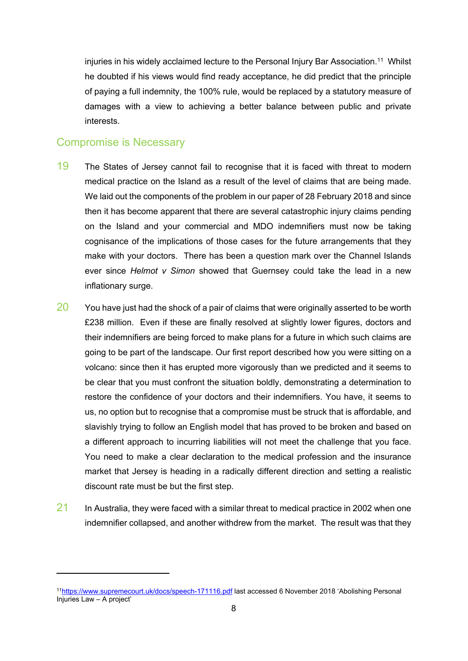injuries in his widely acclaimed lecture to the Personal Injury Bar Association.<sup>11</sup> Whilst he doubted if his views would find ready acceptance, he did predict that the principle of paying a full indemnity, the 100% rule, would be replaced by a statutory measure of damages with a view to achieving a better balance between public and private interests.

#### Compromise is Necessary

- 19 The States of Jersey cannot fail to recognise that it is faced with threat to modern medical practice on the Island as a result of the level of claims that are being made. We laid out the components of the problem in our paper of 28 February 2018 and since then it has become apparent that there are several catastrophic injury claims pending on the Island and your commercial and MDO indemnifiers must now be taking cognisance of the implications of those cases for the future arrangements that they make with your doctors. There has been a question mark over the Channel Islands ever since *Helmot v Simon* showed that Guernsey could take the lead in a new inflationary surge.
- $20$  You have just had the shock of a pair of claims that were originally asserted to be worth £238 million. Even if these are finally resolved at slightly lower figures, doctors and their indemnifiers are being forced to make plans for a future in which such claims are going to be part of the landscape. Our first report described how you were sitting on a volcano: since then it has erupted more vigorously than we predicted and it seems to be clear that you must confront the situation boldly, demonstrating a determination to restore the confidence of your doctors and their indemnifiers. You have, it seems to us, no option but to recognise that a compromise must be struck that is affordable, and slavishly trying to follow an English model that has proved to be broken and based on a different approach to incurring liabilities will not meet the challenge that you face. You need to make a clear declaration to the medical profession and the insurance market that Jersey is heading in a radically different direction and setting a realistic discount rate must be but the first step.
- $21$  In Australia, they were faced with a similar threat to medical practice in 2002 when one indemnifier collapsed, and another withdrew from the market. The result was that they

<sup>11</sup><https://www.supremecourt.uk/docs/speech-171116.pdf> last accessed 6 November 2018 'Abolishing Personal Injuries Law – A project'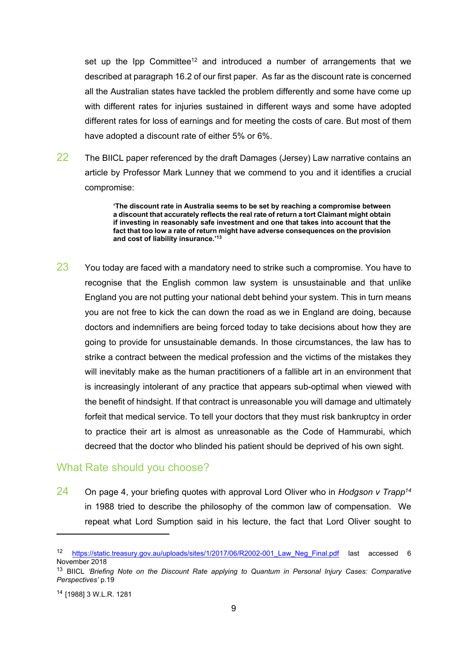set up the Ipp Committee<sup>12</sup> and introduced a number of arrangements that we described at paragraph 16.2 of our first paper. As far as the discount rate is concerned all the Australian states have tackled the problem differently and some have come up with different rates for injuries sustained in different ways and some have adopted different rates for loss of earnings and for meeting the costs of care. But most of them have adopted a discount rate of either 5% or 6%.

22 The BIICL paper referenced by the draft Damages (Jersey) Law narrative contains an article by Professor Mark Lunney that we commend to you and it identifies a crucial compromise:

> **'The discount rate in Australia seems to be set by reaching a compromise between a discount that accurately reflects the real rate of return a tort Claimant might obtain if investing in reasonably safe investment and one that takes into account that the fact that too low a rate of return might have adverse consequences on the provision and cost of liability insurance.'<sup>13</sup>**

 $23$  You today are faced with a mandatory need to strike such a compromise. You have to recognise that the English common law system is unsustainable and that unlike England you are not putting your national debt behind your system. This in turn means you are not free to kick the can down the road as we in England are doing, because doctors and indemnifiers are being forced today to take decisions about how they are going to provide for unsustainable demands. In those circumstances, the law has to strike a contract between the medical profession and the victims of the mistakes they will inevitably make as the human practitioners of a fallible art in an environment that is increasingly intolerant of any practice that appears sub-optimal when viewed with the benefit of hindsight. If that contract is unreasonable you will damage and ultimately forfeit that medical service. To tell your doctors that they must risk bankruptcy in order to practice their art is almost as unreasonable as the Code of Hammurabi, which decreed that the doctor who blinded his patient should be deprived of his own sight.

#### What Rate should you choose?

24 On page 4, your briefing quotes with approval Lord Oliver who in *Hodgson v Trapp<sup>14</sup>* in 1988 tried to describe the philosophy of the common law of compensation. We repeat what Lord Sumption said in his lecture, the fact that Lord Oliver sought to

<sup>12</sup> https://static.treasury.gov.au/uploads/sites/1/2017/06/R2002-001 Law Neg Final.pdf last accessed 6 November 2018

<sup>13</sup> BIICL *'Briefing Note on the Discount Rate applying to Quantum in Personal Injury Cases: Comparative Perspectives'* p.19

<sup>14</sup> [1988] 3 W.L.R. 1281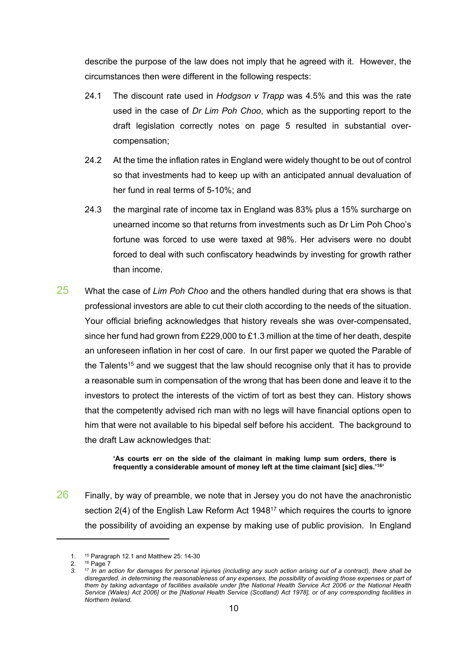describe the purpose of the law does not imply that he agreed with it. However, the circumstances then were different in the following respects:

- 24.1 The discount rate used in *Hodgson v Trapp* was 4.5% and this was the rate used in the case of *Dr Lim Poh Choo*, which as the supporting report to the draft legislation correctly notes on page 5 resulted in substantial overcompensation;
- 24.2 At the time the inflation rates in England were widely thought to be out of control so that investments had to keep up with an anticipated annual devaluation of her fund in real terms of 5-10%; and
- 24.3 the marginal rate of income tax in England was 83% plus a 15% surcharge on unearned income so that returns from investments such as Dr Lim Poh Choo's fortune was forced to use were taxed at 98%. Her advisers were no doubt forced to deal with such confiscatory headwinds by investing for growth rather than income.
- 25 What the case of *Lim Poh Choo* and the others handled during that era shows is that professional investors are able to cut their cloth according to the needs of the situation. Your official briefing acknowledges that history reveals she was over-compensated, since her fund had grown from £229,000 to £1.3 million at the time of her death, despite an unforeseen inflation in her cost of care. In our first paper we quoted the Parable of the Talents<sup>15</sup> and we suggest that the law should recognise only that it has to provide a reasonable sum in compensation of the wrong that has been done and leave it to the investors to protect the interests of the victim of tort as best they can. History shows that the competently advised rich man with no legs will have financial options open to him that were not available to his bipedal self before his accident. The background to the draft Law acknowledges that:

**'As courts err on the side of the claimant in making lump sum orders, there is frequently a considerable amount of money left at the time claimant [sic] dies.'<sup>16</sup> '**

 $26$  Finally, by way of preamble, we note that in Jersey you do not have the anachronistic section 2(4) of the English Law Reform Act 1948<sup>17</sup> which requires the courts to ignore the possibility of avoiding an expense by making use of public provision. In England

<sup>1.</sup> <sup>15</sup> Paragraph 12.1 and Matthew 25: 14-30

<sup>2. 16</sup> Page 7

<sup>3. &</sup>lt;sup>17</sup> In an action for damages for personal injuries (including any such action arising out of a contract), there shall be disregarded, in determining the reasonableness of any expenses, the possibility of avoiding those expenses or part of them by taking advantage of facilities available under [the [National](https://login.westlaw.co.uk/maf/wluk/app/document?src=doc&linktype=ref&context=40&crumb-action=replace&docguid=IB535B7F0827611DB8C83CEF6F6DAF4CB) Health Service Act 2006 or the National Health Service [\(Wales\)](https://login.westlaw.co.uk/maf/wluk/app/document?src=doc&linktype=ref&context=40&crumb-action=replace&docguid=IB535B7F0827611DB8C83CEF6F6DAF4CB) Act 2006] or the [National Health Service (Scotland) Act 1978], or of any corresponding facilities in *Northern Ireland.*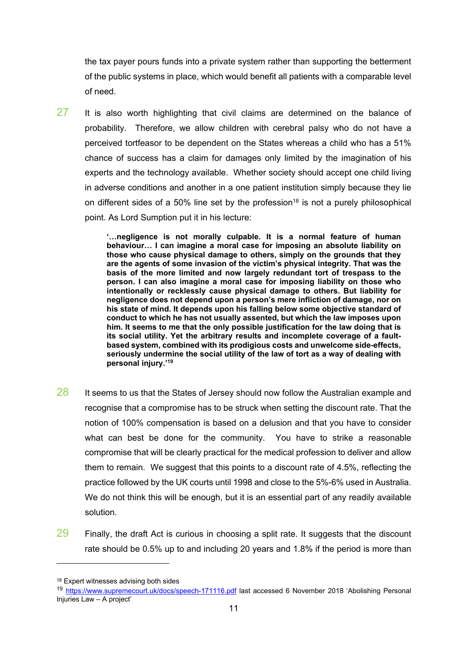the tax payer pours funds into a private system rather than supporting the betterment of the public systems in place, which would benefit all patients with a comparable level of need.

 $27$  It is also worth highlighting that civil claims are determined on the balance of probability. Therefore, we allow children with cerebral palsy who do not have a perceived tortfeasor to be dependent on the States whereas a child who has a 51% chance of success has a claim for damages only limited by the imagination of his experts and the technology available. Whether society should accept one child living in adverse conditions and another in a one patient institution simply because they lie on different sides of a 50% line set by the profession<sup>18</sup> is not a purely philosophical point. As Lord Sumption put it in his lecture:

> **'…negligence is not morally culpable. It is a normal feature of human behaviour… I can imagine a moral case for imposing an absolute liability on those who cause physical damage to others, simply on the grounds that they are the agents of some invasion of the victim's physical integrity. That was the basis of the more limited and now largely redundant tort of trespass to the person. I can also imagine a moral case for imposing liability on those who intentionally or recklessly cause physical damage to others. But liability for negligence does not depend upon a person's mere infliction of damage, nor on his state of mind. It depends upon his falling below some objective standard of conduct to which he has not usually assented, but which the law imposes upon him. It seems to me that the only possible justification for the law doing that is its social utility. Yet the arbitrary results and incomplete coverage of a faultbased system, combined with its prodigious costs and unwelcome side-effects, seriously undermine the social utility of the law of tort as a way of dealing with personal injury.'<sup>19</sup>**

- $28$  It seems to us that the States of Jersey should now follow the Australian example and recognise that a compromise has to be struck when setting the discount rate. That the notion of 100% compensation is based on a delusion and that you have to consider what can best be done for the community. You have to strike a reasonable compromise that will be clearly practical for the medical profession to deliver and allow them to remain. We suggest that this points to a discount rate of 4.5%, reflecting the practice followed by the UK courts until 1998 and close to the 5%-6% used in Australia. We do not think this will be enough, but it is an essential part of any readily available solution.
- $29$  Finally, the draft Act is curious in choosing a split rate. It suggests that the discount rate should be 0.5% up to and including 20 years and 1.8% if the period is more than

<sup>18</sup> Expert witnesses advising both sides

<sup>19</sup> <https://www.supremecourt.uk/docs/speech-171116.pdf> last accessed 6 November 2018 'Abolishing Personal Injuries Law – A project'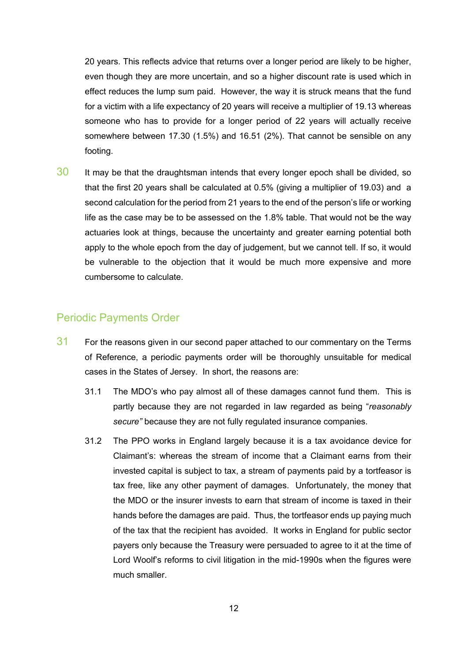20 years. This reflects advice that returns over a longer period are likely to be higher, even though they are more uncertain, and so a higher discount rate is used which in effect reduces the lump sum paid. However, the way it is struck means that the fund for a victim with a life expectancy of 20 years will receive a multiplier of 19.13 whereas someone who has to provide for a longer period of 22 years will actually receive somewhere between 17.30 (1.5%) and 16.51 (2%). That cannot be sensible on any footing.

 $30$  It may be that the draughtsman intends that every longer epoch shall be divided, so that the first 20 years shall be calculated at 0.5% (giving a multiplier of 19.03) and a second calculation for the period from 21 years to the end of the person's life or working life as the case may be to be assessed on the 1.8% table. That would not be the way actuaries look at things, because the uncertainty and greater earning potential both apply to the whole epoch from the day of judgement, but we cannot tell. If so, it would be vulnerable to the objection that it would be much more expensive and more cumbersome to calculate.

#### Periodic Payments Order

- 31 For the reasons given in our second paper attached to our commentary on the Terms of Reference, a periodic payments order will be thoroughly unsuitable for medical cases in the States of Jersey. In short, the reasons are:
	- 31.1 The MDO's who pay almost all of these damages cannot fund them. This is partly because they are not regarded in law regarded as being "*reasonably secure"* because they are not fully regulated insurance companies.
	- 31.2 The PPO works in England largely because it is a tax avoidance device for Claimant's: whereas the stream of income that a Claimant earns from their invested capital is subject to tax, a stream of payments paid by a tortfeasor is tax free, like any other payment of damages. Unfortunately, the money that the MDO or the insurer invests to earn that stream of income is taxed in their hands before the damages are paid. Thus, the tortfeasor ends up paying much of the tax that the recipient has avoided. It works in England for public sector payers only because the Treasury were persuaded to agree to it at the time of Lord Woolf's reforms to civil litigation in the mid-1990s when the figures were much smaller.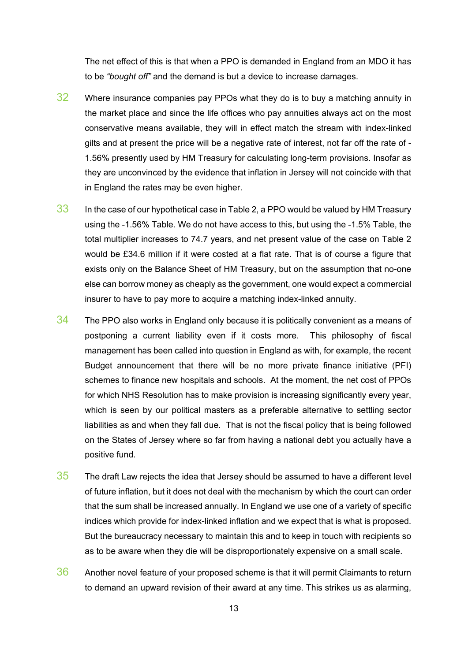The net effect of this is that when a PPO is demanded in England from an MDO it has to be *"bought off"* and the demand is but a device to increase damages.

- 32 Where insurance companies pay PPOs what they do is to buy a matching annuity in the market place and since the life offices who pay annuities always act on the most conservative means available, they will in effect match the stream with index-linked gilts and at present the price will be a negative rate of interest, not far off the rate of - 1.56% presently used by HM Treasury for calculating long-term provisions. Insofar as they are unconvinced by the evidence that inflation in Jersey will not coincide with that in England the rates may be even higher.
- $33$  In the case of our hypothetical case in Table 2, a PPO would be valued by HM Treasury using the -1.56% Table. We do not have access to this, but using the -1.5% Table, the total multiplier increases to 74.7 years, and net present value of the case on Table 2 would be £34.6 million if it were costed at a flat rate. That is of course a figure that exists only on the Balance Sheet of HM Treasury, but on the assumption that no-one else can borrow money as cheaply as the government, one would expect a commercial insurer to have to pay more to acquire a matching index-linked annuity.
- $34$  The PPO also works in England only because it is politically convenient as a means of postponing a current liability even if it costs more. This philosophy of fiscal management has been called into question in England as with, for example, the recent Budget announcement that there will be no more private finance initiative (PFI) schemes to finance new hospitals and schools. At the moment, the net cost of PPOs for which NHS Resolution has to make provision is increasing significantly every year, which is seen by our political masters as a preferable alternative to settling sector liabilities as and when they fall due. That is not the fiscal policy that is being followed on the States of Jersey where so far from having a national debt you actually have a positive fund.
- $35$  The draft Law rejects the idea that Jersey should be assumed to have a different level of future inflation, but it does not deal with the mechanism by which the court can order that the sum shall be increased annually. In England we use one of a variety of specific indices which provide for index-linked inflation and we expect that is what is proposed. But the bureaucracy necessary to maintain this and to keep in touch with recipients so as to be aware when they die will be disproportionately expensive on a small scale.
- 36 Another novel feature of your proposed scheme is that it will permit Claimants to return to demand an upward revision of their award at any time. This strikes us as alarming,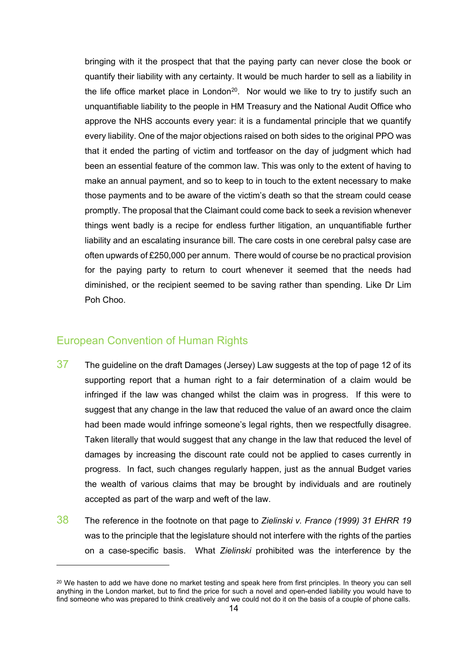bringing with it the prospect that that the paying party can never close the book or quantify their liability with any certainty. It would be much harder to sell as a liability in the life office market place in London<sup>20</sup>. Nor would we like to try to justify such an unquantifiable liability to the people in HM Treasury and the National Audit Office who approve the NHS accounts every year: it is a fundamental principle that we quantify every liability. One of the major objections raised on both sides to the original PPO was that it ended the parting of victim and tortfeasor on the day of judgment which had been an essential feature of the common law. This was only to the extent of having to make an annual payment, and so to keep to in touch to the extent necessary to make those payments and to be aware of the victim's death so that the stream could cease promptly. The proposal that the Claimant could come back to seek a revision whenever things went badly is a recipe for endless further litigation, an unquantifiable further liability and an escalating insurance bill. The care costs in one cerebral palsy case are often upwards of £250,000 per annum.There would of course be no practical provision for the paying party to return to court whenever it seemed that the needs had diminished, or the recipient seemed to be saving rather than spending. Like Dr Lim Poh Choo.

#### European Convention of Human Rights

- $37$  The guideline on the draft Damages (Jersey) Law suggests at the top of page 12 of its supporting report that a human right to a fair determination of a claim would be infringed if the law was changed whilst the claim was in progress. If this were to suggest that any change in the law that reduced the value of an award once the claim had been made would infringe someone's legal rights, then we respectfully disagree. Taken literally that would suggest that any change in the law that reduced the level of damages by increasing the discount rate could not be applied to cases currently in progress. In fact, such changes regularly happen, just as the annual Budget varies the wealth of various claims that may be brought by individuals and are routinely accepted as part of the warp and weft of the law.
- 38 The reference in the footnote on that page to *Zielinski v. France (1999) 31 EHRR 19* was to the principle that the legislature should not interfere with the rights of the parties on a case-specific basis. What *Zielinski* prohibited was the interference by the

<sup>&</sup>lt;sup>20</sup> We hasten to add we have done no market testing and speak here from first principles. In theory you can sell anything in the London market, but to find the price for such a novel and open-ended liability you would have to find someone who was prepared to think creatively and we could not do it on the basis of a couple of phone calls.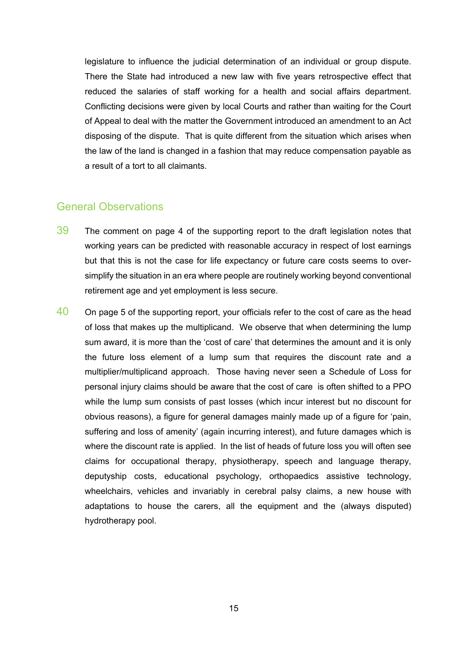legislature to influence the judicial determination of an individual or group dispute. There the State had introduced a new law with five years retrospective effect that reduced the salaries of staff working for a health and social affairs department. Conflicting decisions were given by local Courts and rather than waiting for the Court of Appeal to deal with the matter the Government introduced an amendment to an Act disposing of the dispute. That is quite different from the situation which arises when the law of the land is changed in a fashion that may reduce compensation payable as a result of a tort to all claimants.

#### General Observations

- $39$  The comment on page 4 of the supporting report to the draft legislation notes that working years can be predicted with reasonable accuracy in respect of lost earnings but that this is not the case for life expectancy or future care costs seems to oversimplify the situation in an era where people are routinely working beyond conventional retirement age and yet employment is less secure.
- 40 On page 5 of the supporting report, your officials refer to the cost of care as the head of loss that makes up the multiplicand. We observe that when determining the lump sum award, it is more than the 'cost of care' that determines the amount and it is only the future loss element of a lump sum that requires the discount rate and a multiplier/multiplicand approach. Those having never seen a Schedule of Loss for personal injury claims should be aware that the cost of care is often shifted to a PPO while the lump sum consists of past losses (which incur interest but no discount for obvious reasons), a figure for general damages mainly made up of a figure for 'pain, suffering and loss of amenity' (again incurring interest), and future damages which is where the discount rate is applied. In the list of heads of future loss you will often see claims for occupational therapy, physiotherapy, speech and language therapy, deputyship costs, educational psychology, orthopaedics assistive technology, wheelchairs, vehicles and invariably in cerebral palsy claims, a new house with adaptations to house the carers, all the equipment and the (always disputed) hydrotherapy pool.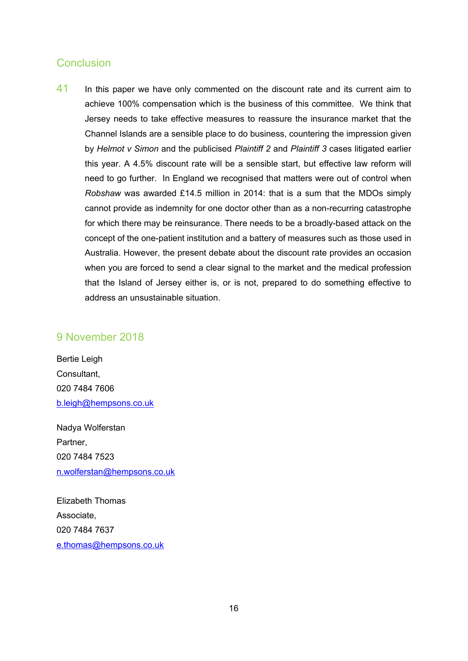#### **Conclusion**

41 In this paper we have only commented on the discount rate and its current aim to achieve 100% compensation which is the business of this committee. We think that Jersey needs to take effective measures to reassure the insurance market that the Channel Islands are a sensible place to do business, countering the impression given by *Helmot v Simon* and the publicised *Plaintiff 2* and *Plaintiff 3* cases litigated earlier this year. A 4.5% discount rate will be a sensible start, but effective law reform will need to go further. In England we recognised that matters were out of control when *Robshaw* was awarded £14.5 million in 2014: that is a sum that the MDOs simply cannot provide as indemnity for one doctor other than as a non-recurring catastrophe for which there may be reinsurance. There needs to be a broadly-based attack on the concept of the one-patient institution and a battery of measures such as those used in Australia. However, the present debate about the discount rate provides an occasion when you are forced to send a clear signal to the market and the medical profession that the Island of Jersey either is, or is not, prepared to do something effective to address an unsustainable situation.

#### 9 November 2018

Bertie Leigh Consultant, 020 7484 7606 [b.leigh@hempsons.co.uk](mailto:b.leigh@hempsons.co.uk)

Nadya Wolferstan Partner, 020 7484 7523 [n.wolferstan@hempsons.co.uk](mailto:n.wolferstan@hempsons.co.uk)

Elizabeth Thomas Associate, 020 7484 7637 [e.thomas@hempsons.co.uk](mailto:e.thomas@hempsons.co.uk)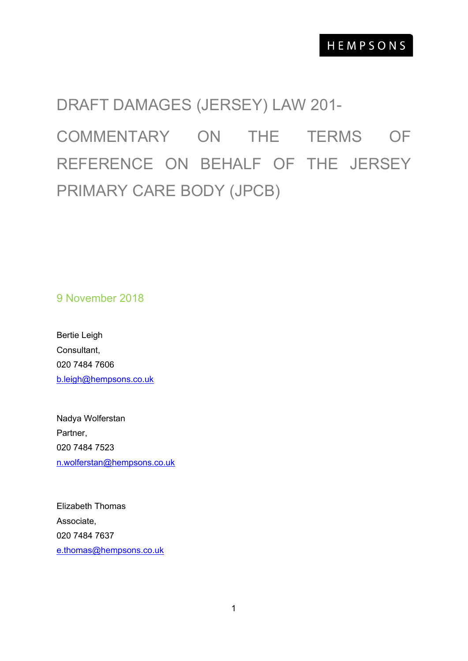# DRAFT DAMAGES (JERSEY) LAW 201- COMMENTARY ON THE TERMS OF REFERENCE ON BEHALF OF THE JERSEY PRIMARY CARE BODY (JPCB)

9 November 2018

Bertie Leigh Consultant, 020 7484 7606 [b.leigh@hempsons.co.uk](mailto:b.leigh@hempsons.co.uk)

Nadya Wolferstan Partner, 020 7484 7523 [n.wolferstan@hempsons.co.uk](mailto:n.wolferstan@hempsons.co.uk)

Elizabeth Thomas Associate, 020 7484 7637 [e.thomas@hempsons.co.uk](mailto:e.thomas@hempsons.co.uk)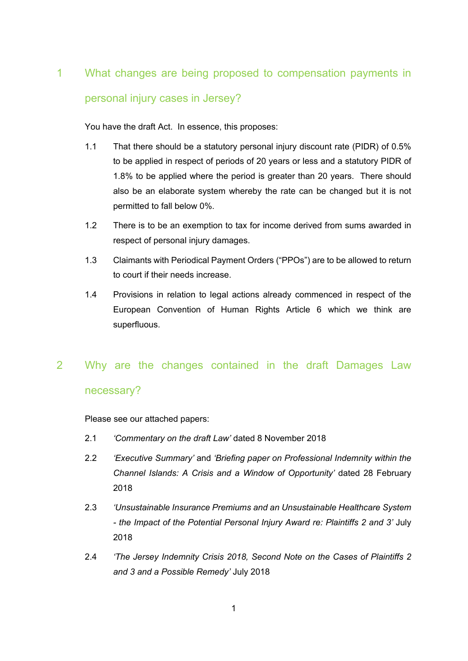## 1 What changes are being proposed to compensation payments in personal injury cases in Jersey?

You have the draft Act. In essence, this proposes:

- 1.1 That there should be a statutory personal injury discount rate (PIDR) of 0.5% to be applied in respect of periods of 20 years or less and a statutory PIDR of 1.8% to be applied where the period is greater than 20 years. There should also be an elaborate system whereby the rate can be changed but it is not permitted to fall below 0%.
- 1.2 There is to be an exemption to tax for income derived from sums awarded in respect of personal injury damages.
- 1.3 Claimants with Periodical Payment Orders ("PPOs") are to be allowed to return to court if their needs increase.
- 1.4 Provisions in relation to legal actions already commenced in respect of the European Convention of Human Rights Article 6 which we think are superfluous.

# 2 Why are the changes contained in the draft Damages Law necessary?

Please see our attached papers:

- 2.1 *'Commentary on the draft Law'* dated 8 November 2018
- 2.2 *'Executive Summary'* and *'Briefing paper on Professional Indemnity within the Channel Islands: A Crisis and a Window of Opportunity'* dated 28 February 2018
- 2.3 *'Unsustainable Insurance Premiums and an Unsustainable Healthcare System - the Impact of the Potential Personal Injury Award re: Plaintiffs 2 and 3'* July 2018
- 2.4 *'The Jersey Indemnity Crisis 2018, Second Note on the Cases of Plaintiffs 2 and 3 and a Possible Remedy'* July 2018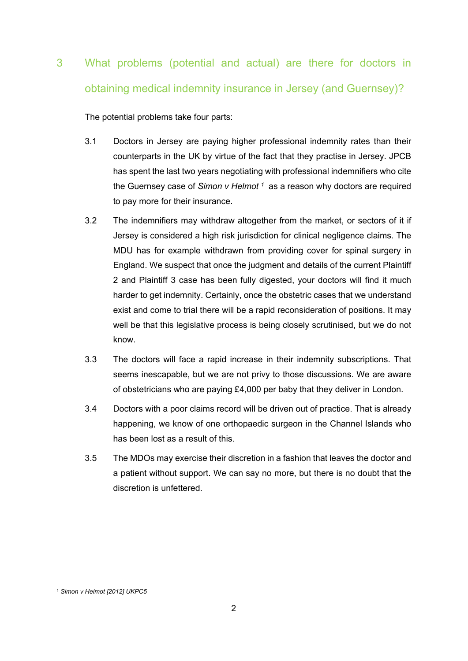# 3 What problems (potential and actual) are there for doctors in obtaining medical indemnity insurance in Jersey (and Guernsey)?

The potential problems take four parts:

- 3.1 Doctors in Jersey are paying higher professional indemnity rates than their counterparts in the UK by virtue of the fact that they practise in Jersey. JPCB has spent the last two years negotiating with professional indemnifiers who cite the Guernsey case of *Simon v Helmot <sup>1</sup>* as a reason why doctors are required to pay more for their insurance.
- 3.2 The indemnifiers may withdraw altogether from the market, or sectors of it if Jersey is considered a high risk jurisdiction for clinical negligence claims. The MDU has for example withdrawn from providing cover for spinal surgery in England. We suspect that once the judgment and details of the current Plaintiff 2 and Plaintiff 3 case has been fully digested, your doctors will find it much harder to get indemnity. Certainly, once the obstetric cases that we understand exist and come to trial there will be a rapid reconsideration of positions. It may well be that this legislative process is being closely scrutinised, but we do not know.
- 3.3 The doctors will face a rapid increase in their indemnity subscriptions. That seems inescapable, but we are not privy to those discussions. We are aware of obstetricians who are paying £4,000 per baby that they deliver in London.
- 3.4 Doctors with a poor claims record will be driven out of practice. That is already happening, we know of one orthopaedic surgeon in the Channel Islands who has been lost as a result of this.
- 3.5 The MDOs may exercise their discretion in a fashion that leaves the doctor and a patient without support. We can say no more, but there is no doubt that the discretion is unfettered.

<sup>1</sup> *Simon v Helmot [2012] UKPC5*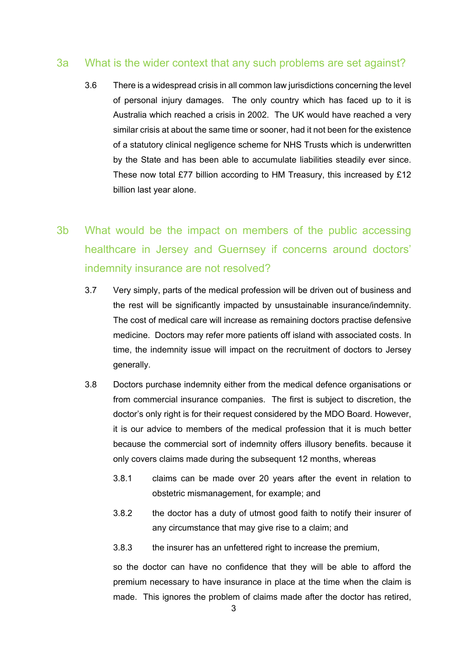#### 3a What is the wider context that any such problems are set against?

- 3.6 There is a widespread crisis in all common law jurisdictions concerning the level of personal injury damages. The only country which has faced up to it is Australia which reached a crisis in 2002. The UK would have reached a very similar crisis at about the same time or sooner, had it not been for the existence of a statutory clinical negligence scheme for NHS Trusts which is underwritten by the State and has been able to accumulate liabilities steadily ever since. These now total £77 billion according to HM Treasury, this increased by £12 billion last year alone.
- 3b What would be the impact on members of the public accessing healthcare in Jersey and Guernsey if concerns around doctors' indemnity insurance are not resolved?
	- 3.7 Very simply, parts of the medical profession will be driven out of business and the rest will be significantly impacted by unsustainable insurance/indemnity. The cost of medical care will increase as remaining doctors practise defensive medicine. Doctors may refer more patients off island with associated costs. In time, the indemnity issue will impact on the recruitment of doctors to Jersey generally.
	- 3.8 Doctors purchase indemnity either from the medical defence organisations or from commercial insurance companies. The first is subject to discretion, the doctor's only right is for their request considered by the MDO Board. However, it is our advice to members of the medical profession that it is much better because the commercial sort of indemnity offers illusory benefits. because it only covers claims made during the subsequent 12 months, whereas
		- 3.8.1 claims can be made over 20 years after the event in relation to obstetric mismanagement, for example; and
		- 3.8.2 the doctor has a duty of utmost good faith to notify their insurer of any circumstance that may give rise to a claim; and
		- 3.8.3 the insurer has an unfettered right to increase the premium,

so the doctor can have no confidence that they will be able to afford the premium necessary to have insurance in place at the time when the claim is made. This ignores the problem of claims made after the doctor has retired.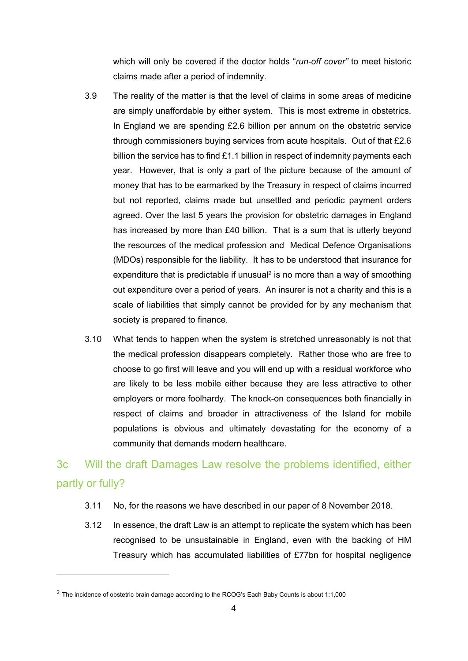which will only be covered if the doctor holds "*run-off cover"* to meet historic claims made after a period of indemnity.

- 3.9 The reality of the matter is that the level of claims in some areas of medicine are simply unaffordable by either system. This is most extreme in obstetrics. In England we are spending £2.6 billion per annum on the obstetric service through commissioners buying services from acute hospitals. Out of that £2.6 billion the service has to find  $£1.1$  billion in respect of indemnity payments each year. However, that is only a part of the picture because of the amount of money that has to be earmarked by the Treasury in respect of claims incurred but not reported, claims made but unsettled and periodic payment orders agreed. Over the last 5 years the provision for obstetric damages in England has increased by more than £40 billion. That is a sum that is utterly beyond the resources of the medical profession and Medical Defence Organisations (MDOs) responsible for the liability. It has to be understood that insurance for expenditure that is predictable if unusual<sup>2</sup> is no more than a way of smoothing out expenditure over a period of years. An insurer is not a charity and this is a scale of liabilities that simply cannot be provided for by any mechanism that society is prepared to finance.
- 3.10 What tends to happen when the system is stretched unreasonably is not that the medical profession disappears completely. Rather those who are free to choose to go first will leave and you will end up with a residual workforce who are likely to be less mobile either because they are less attractive to other employers or more foolhardy. The knock-on consequences both financially in respect of claims and broader in attractiveness of the Island for mobile populations is obvious and ultimately devastating for the economy of a community that demands modern healthcare.

### 3c Will the draft Damages Law resolve the problems identified, either partly or fully?

- 3.11 No, for the reasons we have described in our paper of 8 November 2018.
- 3.12 In essence, the draft Law is an attempt to replicate the system which has been recognised to be unsustainable in England, even with the backing of HM Treasury which has accumulated liabilities of £77bn for hospital negligence

 $2$  The incidence of obstetric brain damage according to the RCOG's Each Baby Counts is about 1:1,000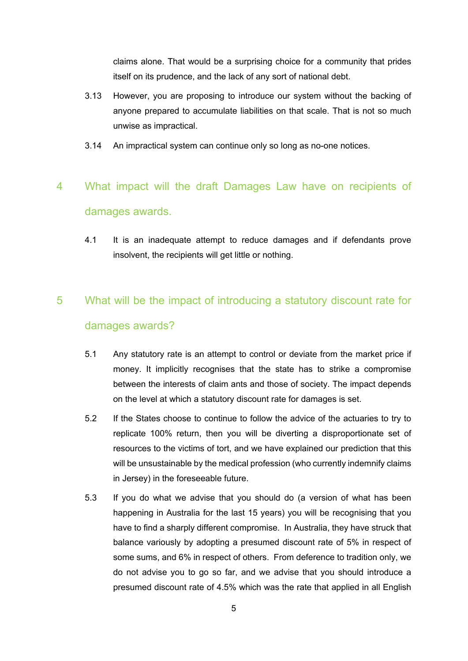claims alone. That would be a surprising choice for a community that prides itself on its prudence, and the lack of any sort of national debt.

- 3.13 However, you are proposing to introduce our system without the backing of anyone prepared to accumulate liabilities on that scale. That is not so much unwise as impractical.
- 3.14 An impractical system can continue only so long as no-one notices.

## 4 What impact will the draft Damages Law have on recipients of damages awards.

4.1 It is an inadequate attempt to reduce damages and if defendants prove insolvent, the recipients will get little or nothing.

## 5 What will be the impact of introducing a statutory discount rate for damages awards?

- 5.1 Any statutory rate is an attempt to control or deviate from the market price if money. It implicitly recognises that the state has to strike a compromise between the interests of claim ants and those of society. The impact depends on the level at which a statutory discount rate for damages is set.
- 5.2 If the States choose to continue to follow the advice of the actuaries to try to replicate 100% return, then you will be diverting a disproportionate set of resources to the victims of tort, and we have explained our prediction that this will be unsustainable by the medical profession (who currently indemnify claims in Jersey) in the foreseeable future.
- 5.3 If you do what we advise that you should do (a version of what has been happening in Australia for the last 15 years) you will be recognising that you have to find a sharply different compromise. In Australia, they have struck that balance variously by adopting a presumed discount rate of 5% in respect of some sums, and 6% in respect of others. From deference to tradition only, we do not advise you to go so far, and we advise that you should introduce a presumed discount rate of 4.5% which was the rate that applied in all English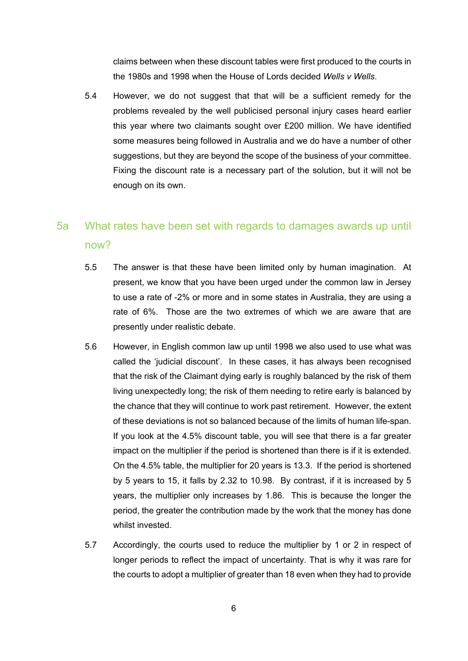claims between when these discount tables were first produced to the courts in the 1980s and 1998 when the House of Lords decided *Wells v Wells*.

5.4 However, we do not suggest that that will be a sufficient remedy for the problems revealed by the well publicised personal injury cases heard earlier this year where two claimants sought over £200 million. We have identified some measures being followed in Australia and we do have a number of other suggestions, but they are beyond the scope of the business of your committee. Fixing the discount rate is a necessary part of the solution, but it will not be enough on its own.

### 5a What rates have been set with regards to damages awards up until now?

- 5.5 The answer is that these have been limited only by human imagination. At present, we know that you have been urged under the common law in Jersey to use a rate of -2% or more and in some states in Australia, they are using a rate of 6%. Those are the two extremes of which we are aware that are presently under realistic debate.
- 5.6 However, in English common law up until 1998 we also used to use what was called the 'judicial discount'. In these cases, it has always been recognised that the risk of the Claimant dying early is roughly balanced by the risk of them living unexpectedly long; the risk of them needing to retire early is balanced by the chance that they will continue to work past retirement. However, the extent of these deviations is not so balanced because of the limits of human life-span. If you look at the 4.5% discount table, you will see that there is a far greater impact on the multiplier if the period is shortened than there is if it is extended. On the 4.5% table, the multiplier for 20 years is 13.3. If the period is shortened by 5 years to 15, it falls by 2.32 to 10.98. By contrast, if it is increased by 5 years, the multiplier only increases by 1.86. This is because the longer the period, the greater the contribution made by the work that the money has done whilst invested.
- 5.7 Accordingly, the courts used to reduce the multiplier by 1 or 2 in respect of longer periods to reflect the impact of uncertainty. That is why it was rare for the courts to adopt a multiplier of greater than 18 even when they had to provide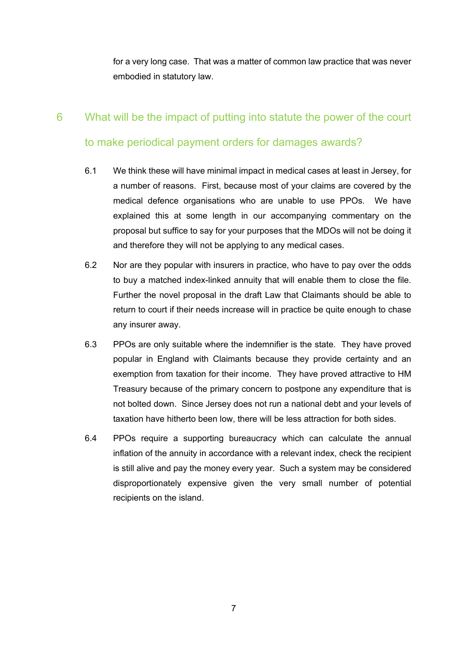for a very long case. That was a matter of common law practice that was never embodied in statutory law.

## 6 What will be the impact of putting into statute the power of the court to make periodical payment orders for damages awards?

- 6.1 We think these will have minimal impact in medical cases at least in Jersey, for a number of reasons. First, because most of your claims are covered by the medical defence organisations who are unable to use PPOs. We have explained this at some length in our accompanying commentary on the proposal but suffice to say for your purposes that the MDOs will not be doing it and therefore they will not be applying to any medical cases.
- 6.2 Nor are they popular with insurers in practice, who have to pay over the odds to buy a matched index-linked annuity that will enable them to close the file. Further the novel proposal in the draft Law that Claimants should be able to return to court if their needs increase will in practice be quite enough to chase any insurer away.
- 6.3 PPOs are only suitable where the indemnifier is the state. They have proved popular in England with Claimants because they provide certainty and an exemption from taxation for their income. They have proved attractive to HM Treasury because of the primary concern to postpone any expenditure that is not bolted down. Since Jersey does not run a national debt and your levels of taxation have hitherto been low, there will be less attraction for both sides.
- 6.4 PPOs require a supporting bureaucracy which can calculate the annual inflation of the annuity in accordance with a relevant index, check the recipient is still alive and pay the money every year. Such a system may be considered disproportionately expensive given the very small number of potential recipients on the island.